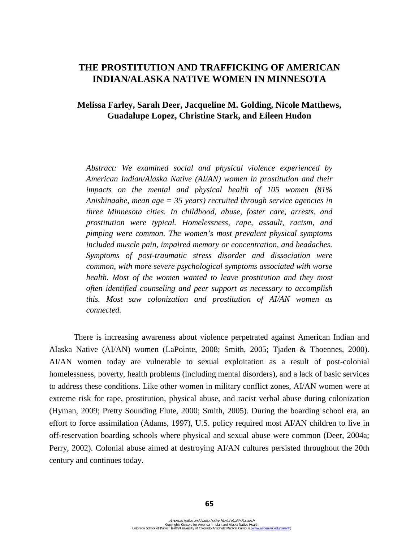# **THE PROSTITUTION AND TRAFFICKING OF AMERICAN INDIAN/ALASKA NATIVE WOMEN IN MINNESOTA**

# **Melissa Farley, Sarah Deer, Jacqueline M. Golding, Nicole Matthews, Guadalupe Lopez, Christine Stark, and Eileen Hudon**

*Abstract: We examined social and physical violence experienced by American Indian/Alaska Native (AI/AN) women in prostitution and their impacts on the mental and physical health of 105 women (81% Anishinaabe, mean age = 35 years) recruited through service agencies in three Minnesota cities. In childhood, abuse, foster care, arrests, and prostitution were typical. Homelessness, rape, assault, racism, and pimping were common. The women's most prevalent physical symptoms included muscle pain, impaired memory or concentration, and headaches. Symptoms of post-traumatic stress disorder and dissociation were common, with more severe psychological symptoms associated with worse health. Most of the women wanted to leave prostitution and they most often identified counseling and peer support as necessary to accomplish this. Most saw colonization and prostitution of AI/AN women as connected.* 

There is increasing awareness about violence perpetrated against American Indian and Alaska Native (AI/AN) women (LaPointe, 2008; Smith, 2005; Tjaden & Thoennes, 2000). AI/AN women today are vulnerable to sexual exploitation as a result of post-colonial homelessness, poverty, health problems (including mental disorders), and a lack of basic services to address these conditions. Like other women in military conflict zones, AI/AN women were at extreme risk for rape, prostitution, physical abuse, and racist verbal abuse during colonization (Hyman, 2009; Pretty Sounding Flute, 2000; Smith, 2005). During the boarding school era, an effort to force assimilation (Adams, 1997), U.S. policy required most AI/AN children to live in off-reservation boarding schools where physical and sexual abuse were common (Deer, 2004a; Perry, 2002). Colonial abuse aimed at destroying AI/AN cultures persisted throughout the 20th century and continues today.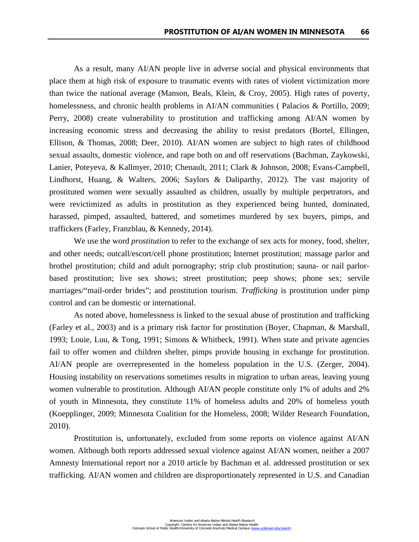As a result, many AI/AN people live in adverse social and physical environments that place them at high risk of exposure to traumatic events with rates of violent victimization more than twice the national average (Manson, Beals, Klein, & Croy, 2005). High rates of poverty, homelessness, and chronic health problems in AI/AN communities (Palacios & Portillo, 2009; Perry, 2008) create vulnerability to prostitution and trafficking among AI/AN women by increasing economic stress and decreasing the ability to resist predators (Bortel, Ellingen, Ellison, & Thomas, 2008; Deer, 2010). AI/AN women are subject to high rates of childhood sexual assaults, domestic violence, and rape both on and off reservations (Bachman, Zaykowski, Lanier, Poteyeva, & Kallmyer, 2010; Chenault, 2011; Clark & Johnson, 2008; Evans-Campbell, Lindhorst, Huang, & Walters, 2006; Saylors & Daliparthy, 2012). The vast majority of prostituted women were sexually assaulted as children, usually by multiple perpetrators, and were revictimized as adults in prostitution as they experienced being hunted, dominated, harassed, pimped, assaulted, battered, and sometimes murdered by sex buyers, pimps, and traffickers (Farley, Franzblau, & Kennedy, 2014).

We use the word *prostitution* to refer to the exchange of sex acts for money, food, shelter, and other needs; outcall/escort/cell phone prostitution; Internet prostitution; massage parlor and brothel prostitution; child and adult pornography; strip club prostitution; sauna- or nail parlorbased prostitution; live sex shows; street prostitution; peep shows; phone sex; servile marriages/"mail-order brides"; and prostitution tourism. *Trafficking* is prostitution under pimp control and can be domestic or international.

As noted above, homelessness is linked to the sexual abuse of prostitution and trafficking (Farley et al., 2003) and is a primary risk factor for prostitution (Boyer, Chapman, & Marshall, 1993; Louie, Luu, & Tong, 1991; Simons & Whitbeck, 1991). When state and private agencies fail to offer women and children shelter, pimps provide housing in exchange for prostitution. AI/AN people are overrepresented in the homeless population in the U.S. (Zerger, 2004). Housing instability on reservations sometimes results in migration to urban areas, leaving young women vulnerable to prostitution. Although AI/AN people constitute only 1% of adults and 2% of youth in Minnesota, they constitute 11% of homeless adults and 20% of homeless youth (Koepplinger, 2009; Minnesota Coalition for the Homeless, 2008; Wilder Research Foundation, 2010).

Prostitution is, unfortunately, excluded from some reports on violence against AI/AN women. Although both reports addressed sexual violence against AI/AN women, neither a 2007 Amnesty International report nor a 2010 article by Bachman et al. addressed prostitution or sex trafficking. AI/AN women and children are disproportionately represented in U.S. and Canadian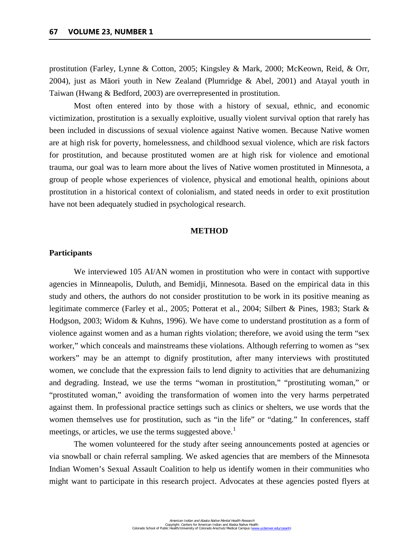prostitution (Farley, Lynne & Cotton, 2005; Kingsley & Mark, 2000; McKeown, Reid, & Orr, 2004), just as Māori youth in New Zealand (Plumridge & Abel, 2001) and Atayal youth in Taiwan (Hwang & Bedford, 2003) are overrepresented in prostitution.

Most often entered into by those with a history of sexual, ethnic, and economic victimization, prostitution is a sexually exploitive, usually violent survival option that rarely has been included in discussions of sexual violence against Native women. Because Native women are at high risk for poverty, homelessness, and childhood sexual violence, which are risk factors for prostitution, and because prostituted women are at high risk for violence and emotional trauma, our goal was to learn more about the lives of Native women prostituted in Minnesota, a group of people whose experiences of violence, physical and emotional health, opinions about prostitution in a historical context of colonialism, and stated needs in order to exit prostitution have not been adequately studied in psychological research.

## **METHOD**

# **Participants**

We interviewed 105 AI/AN women in prostitution who were in contact with supportive agencies in Minneapolis, Duluth, and Bemidji, Minnesota. Based on the empirical data in this study and others, the authors do not consider prostitution to be work in its positive meaning as legitimate commerce (Farley et al., 2005; [Potterat](http://aje.oxfordjournals.org/search?author1=John+J.+Potterat&sortspec=date&submit=Submit) et al., 2004; Silbert & Pines, 1983; Stark & Hodgson, 2003; Widom & Kuhns, 1996). We have come to understand prostitution as a form of violence against women and as a human rights violation; therefore, we avoid using the term "sex worker," which conceals and mainstreams these violations. Although referring to women as "sex workers" may be an attempt to dignify prostitution, after many interviews with prostituted women, we conclude that the expression fails to lend dignity to activities that are dehumanizing and degrading. Instead, we use the terms "woman in prostitution," "prostituting woman," or "prostituted woman," avoiding the transformation of women into the very harms perpetrated against them. In professional practice settings such as clinics or shelters, we use words that the women themselves use for prostitution, such as "in the life" or "dating." In conferences, staff meetings, or articles, we use the terms suggested above.<sup>[1](#page-37-0)</sup>

 The women volunteered for the study after seeing announcements posted at agencies or via snowball or chain referral sampling. We asked agencies that are members of the Minnesota Indian Women's Sexual Assault Coalition to help us identify women in their communities who might want to participate in this research project. Advocates at these agencies posted flyers at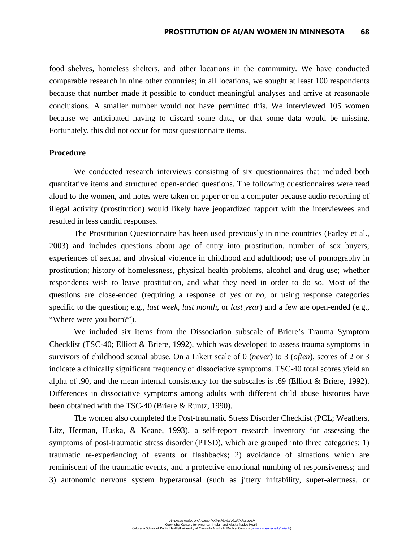food shelves, homeless shelters, and other locations in the community. We have conducted comparable research in nine other countries; in all locations, we sought at least 100 respondents because that number made it possible to conduct meaningful analyses and arrive at reasonable conclusions. A smaller number would not have permitted this. We interviewed 105 women because we anticipated having to discard some data, or that some data would be missing. Fortunately, this did not occur for most questionnaire items.

## **Procedure**

We conducted research interviews consisting of six questionnaires that included both quantitative items and structured open-ended questions. The following questionnaires were read aloud to the women, and notes were taken on paper or on a computer because audio recording of illegal activity (prostitution) would likely have jeopardized rapport with the interviewees and resulted in less candid responses.

The Prostitution Questionnaire has been used previously in nine countries (Farley et al., 2003) and includes questions about age of entry into prostitution, number of sex buyers; experiences of sexual and physical violence in childhood and adulthood; use of pornography in prostitution; history of homelessness, physical health problems, alcohol and drug use; whether respondents wish to leave prostitution, and what they need in order to do so. Most of the questions are close-ended (requiring a response of *yes* or *no*, or using response categories specific to the question; e.g., *last week*, *last month*, or *last year*) and a few are open-ended (e.g., "Where were you born?").

We included six items from the Dissociation subscale of Briere's Trauma Symptom Checklist (TSC-40; Elliott & Briere, 1992), which was developed to assess trauma symptoms in survivors of childhood sexual abuse. On a Likert scale of 0 (*never*) to 3 (*often*), scores of 2 or 3 indicate a clinically significant frequency of dissociative symptoms. TSC-40 total scores yield an alpha of .90, and the mean internal consistency for the subscales is .69 (Elliott & Briere, 1992). Differences in dissociative symptoms among adults with different child abuse histories have been obtained with the TSC-40 (Briere & Runtz, 1990).

The women also completed the Post-traumatic Stress Disorder Checklist (PCL; Weathers, Litz, Herman, Huska, & Keane, 1993), a self-report research inventory for assessing the symptoms of post-traumatic stress disorder (PTSD), which are grouped into three categories: 1) traumatic re-experiencing of events or flashbacks; 2) avoidance of situations which are reminiscent of the traumatic events, and a protective emotional numbing of responsiveness; and 3) autonomic nervous system hyperarousal (such as jittery irritability, super-alertness, or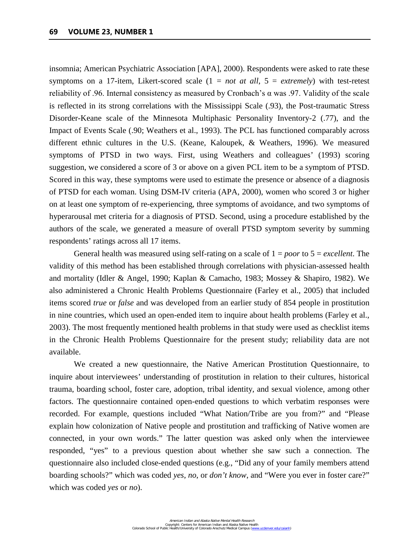insomnia; American Psychiatric Association [APA], 2000). Respondents were asked to rate these symptoms on a 17-item, Likert-scored scale (1 = *not at all*, 5 = *extremely*) with test-retest reliability of .96. Internal consistency as measured by Cronbach's α was .97. Validity of the scale is reflected in its strong correlations with the Mississippi Scale (.93), the Post-traumatic Stress Disorder-Keane scale of the Minnesota Multiphasic Personality Inventory-2 (.77), and the Impact of Events Scale (.90; Weathers et al., 1993). The PCL has functioned comparably across different ethnic cultures in the U.S. (Keane, Kaloupek, & Weathers, 1996). We measured symptoms of PTSD in two ways. First, using Weathers and colleagues' (1993) scoring suggestion, we considered a score of 3 or above on a given PCL item to be a symptom of PTSD. Scored in this way, these symptoms were used to estimate the presence or absence of a diagnosis of PTSD for each woman. Using DSM-IV criteria (APA, 2000), women who scored 3 or higher on at least one symptom of re-experiencing, three symptoms of avoidance, and two symptoms of hyperarousal met criteria for a diagnosis of PTSD. Second, using a procedure established by the authors of the scale, we generated a measure of overall PTSD symptom severity by summing respondents' ratings across all 17 items.

General health was measured using self-rating on a scale of 1 = *poor* to 5 = *excellent*. The validity of this method has been established through correlations with physician-assessed health and mortality (Idler & Angel, 1990; Kaplan & Camacho, 1983; Mossey & Shapiro, 1982). We also administered a Chronic Health Problems Questionnaire (Farley et al., 2005) that included items scored *true* or *false* and was developed from an earlier study of 854 people in prostitution in nine countries, which used an open-ended item to inquire about health problems (Farley et al., 2003). The most frequently mentioned health problems in that study were used as checklist items in the Chronic Health Problems Questionnaire for the present study; reliability data are not available.

We created a new questionnaire, the Native American Prostitution Questionnaire, to inquire about interviewees' understanding of prostitution in relation to their cultures, historical trauma, boarding school, foster care, adoption, tribal identity, and sexual violence, among other factors. The questionnaire contained open-ended questions to which verbatim responses were recorded. For example, questions included "What Nation/Tribe are you from?" and "Please explain how colonization of Native people and prostitution and trafficking of Native women are connected, in your own words." The latter question was asked only when the interviewee responded, "yes" to a previous question about whether she saw such a connection. The questionnaire also included close-ended questions (e.g., "Did any of your family members attend boarding schools?" which was coded *yes*, *no*, or *don't know*, and "Were you ever in foster care?" which was coded *yes* or *no*).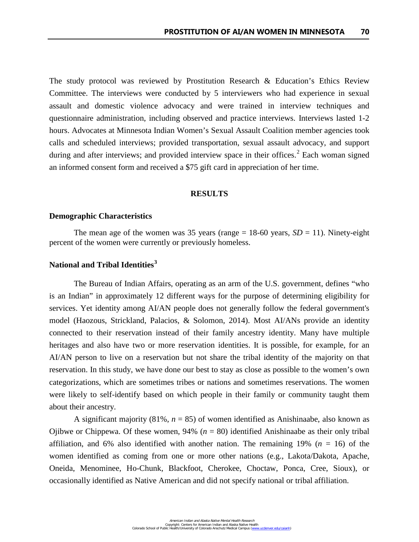The study protocol was reviewed by Prostitution Research & Education's Ethics Review Committee. The interviews were conducted by 5 interviewers who had experience in sexual assault and domestic violence advocacy and were trained in interview techniques and questionnaire administration, including observed and practice interviews. Interviews lasted 1-2 hours. Advocates at Minnesota Indian Women's Sexual Assault Coalition member agencies took calls and scheduled interviews; provided transportation, sexual assault advocacy, and support during and after interviews; and provided interview space in their offices.<sup>[2](#page-38-0)</sup> Each woman signed an informed consent form and received a \$75 gift card in appreciation of her time.

# **RESULTS**

# **Demographic Characteristics**

The mean age of the women was 35 years (range  $= 18-60$  years,  $SD = 11$ ). Ninety-eight percent of the women were currently or previously homeless.

# **National and Tribal Identities[3](#page-38-1)**

The Bureau of Indian Affairs, operating as an arm of the U.S. government, defines "who is an Indian" in approximately 12 different ways for the purpose of determining eligibility for services. Yet identity among AI/AN people does not generally follow the federal government's model (Haozous, Strickland, Palacios, & Solomon, 2014). Most AI/ANs provide an identity connected to their reservation instead of their family ancestry identity. Many have multiple heritages and also have two or more reservation identities. It is possible, for example, for an AI/AN person to live on a reservation but not share the tribal identity of the majority on that reservation. In this study, we have done our best to stay as close as possible to the women's own categorizations, which are sometimes tribes or nations and sometimes reservations. The women were likely to self-identify based on which people in their family or community taught them about their ancestry.

A significant majority (81%, *n* = 85) of women identified as Anishinaabe, also known as Ojibwe or Chippewa. Of these women, 94% (*n* = 80) identified Anishinaabe as their only tribal affiliation, and 6% also identified with another nation. The remaining 19% ( $n = 16$ ) of the women identified as coming from one or more other nations (e.g., Lakota/Dakota, Apache, Oneida, Menominee, Ho-Chunk, Blackfoot, Cherokee, Choctaw, Ponca, Cree, Sioux), or occasionally identified as Native American and did not specify national or tribal affiliation.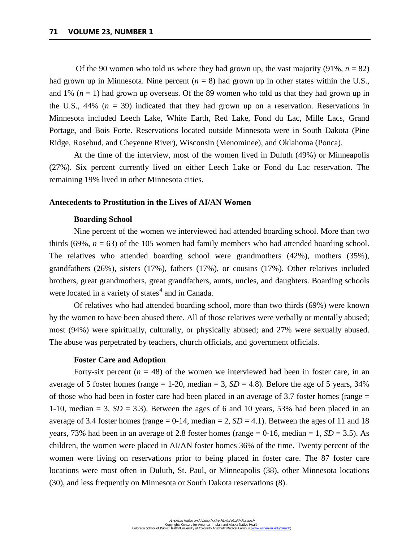Of the 90 women who told us where they had grown up, the vast majority  $(91\%, n = 82)$ had grown up in Minnesota. Nine percent (*n* = 8) had grown up in other states within the U.S., and 1%  $(n = 1)$  had grown up overseas. Of the 89 women who told us that they had grown up in the U.S.,  $44\%$  ( $n = 39$ ) indicated that they had grown up on a reservation. Reservations in Minnesota included Leech Lake, White Earth, Red Lake, Fond du Lac, Mille Lacs, Grand Portage, and Bois Forte. Reservations located outside Minnesota were in South Dakota (Pine Ridge, Rosebud, and Cheyenne River), Wisconsin (Menominee), and Oklahoma (Ponca).

At the time of the interview, most of the women lived in Duluth (49%) or Minneapolis (27%). Six percent currently lived on either Leech Lake or Fond du Lac reservation. The remaining 19% lived in other Minnesota cities.

#### **Antecedents to Prostitution in the Lives of AI/AN Women**

# **Boarding School**

Nine percent of the women we interviewed had attended boarding school. More than two thirds (69%,  $n = 63$ ) of the 105 women had family members who had attended boarding school. The relatives who attended boarding school were grandmothers (42%), mothers (35%), grandfathers (26%), sisters (17%), fathers (17%), or cousins (17%). Other relatives included brothers, great grandmothers, great grandfathers, aunts, uncles, and daughters. Boarding schools were located in a variety of states $4$  and in Canada.

Of relatives who had attended boarding school, more than two thirds (69%) were known by the women to have been abused there. All of those relatives were verbally or mentally abused; most (94%) were spiritually, culturally, or physically abused; and 27% were sexually abused. The abuse was perpetrated by teachers, church officials, and government officials.

#### **Foster Care and Adoption**

Forty-six percent  $(n = 48)$  of the women we interviewed had been in foster care, in an average of 5 foster homes (range  $= 1-20$ , median  $= 3$ ,  $SD = 4.8$ ). Before the age of 5 years, 34% of those who had been in foster care had been placed in an average of 3.7 foster homes (range  $=$ 1-10, median  $= 3$ ,  $SD = 3.3$ ). Between the ages of 6 and 10 years, 53% had been placed in an average of 3.4 foster homes (range  $= 0-14$ , median  $= 2$ ,  $SD = 4.1$ ). Between the ages of 11 and 18 years, 73% had been in an average of 2.8 foster homes (range  $= 0$ -16, median  $= 1$ , *SD*  $= 3.5$ ). As children, the women were placed in AI/AN foster homes 36% of the time. Twenty percent of the women were living on reservations prior to being placed in foster care. The 87 foster care locations were most often in Duluth, St. Paul, or Minneapolis (38), other Minnesota locations (30), and less frequently on Minnesota or South Dakota reservations (8).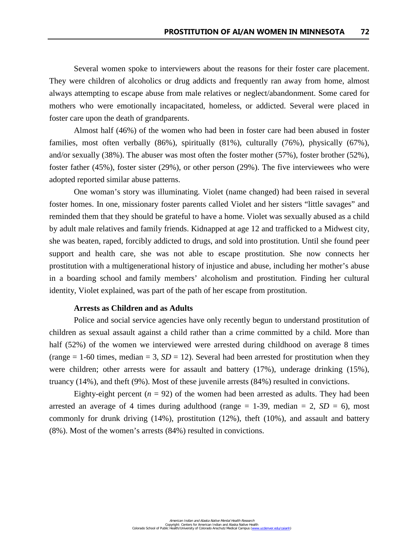Several women spoke to interviewers about the reasons for their foster care placement. They were children of alcoholics or drug addicts and frequently ran away from home, almost always attempting to escape abuse from male relatives or neglect/abandonment. Some cared for mothers who were emotionally incapacitated, homeless, or addicted. Several were placed in foster care upon the death of grandparents.

Almost half (46%) of the women who had been in foster care had been abused in foster families, most often verbally (86%), spiritually (81%), culturally (76%), physically (67%), and/or sexually (38%). The abuser was most often the foster mother (57%), foster brother (52%), foster father (45%), foster sister (29%), or other person (29%). The five interviewees who were adopted reported similar abuse patterns.

One woman's story was illuminating. Violet (name changed) had been raised in several foster homes. In one, missionary foster parents called Violet and her sisters "little savages" and reminded them that they should be grateful to have a home. Violet was sexually abused as a child by adult male relatives and family friends. Kidnapped at age 12 and trafficked to a Midwest city, she was beaten, raped, forcibly addicted to drugs, and sold into prostitution. Until she found peer support and health care, she was not able to escape prostitution. She now connects her prostitution with a multigenerational history of injustice and abuse, including her mother's abuse in a boarding school and family members' alcoholism and prostitution. Finding her cultural identity, Violet explained, was part of the path of her escape from prostitution.

# **Arrests as Children and as Adults**

Police and social service agencies have only recently begun to understand prostitution of children as sexual assault against a child rather than a crime committed by a child. More than half (52%) of the women we interviewed were arrested during childhood on average 8 times (range  $= 1$ -60 times, median  $= 3$ , *SD*  $= 12$ ). Several had been arrested for prostitution when they were children; other arrests were for assault and battery (17%), underage drinking (15%), truancy (14%), and theft (9%). Most of these juvenile arrests (84%) resulted in convictions.

Eighty-eight percent  $(n = 92)$  of the women had been arrested as adults. They had been arrested an average of 4 times during adulthood (range  $= 1-39$ , median  $= 2$ ,  $SD = 6$ ), most commonly for drunk driving (14%), prostitution (12%), theft (10%), and assault and battery (8%). Most of the women's arrests (84%) resulted in convictions.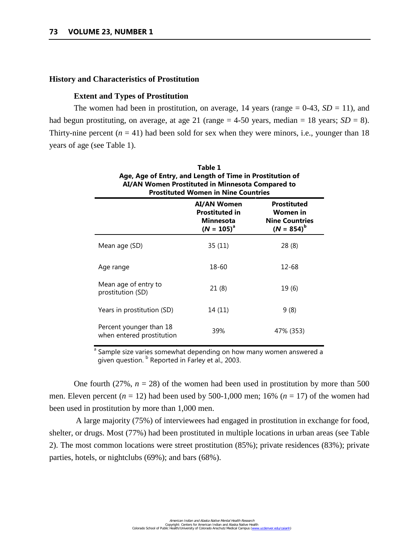## **History and Characteristics of Prostitution**

## **Extent and Types of Prostitution**

The women had been in prostitution, on average, 14 years (range  $= 0-43$ ,  $SD = 11$ ), and had begun prostituting, on average, at age 21 (range  $= 4-50$  years, median  $= 18$  years; *SD*  $= 8$ ). Thirty-nine percent  $(n = 41)$  had been sold for sex when they were minors, i.e., younger than 18 years of age (see Table 1).

| Table 1<br>Age, Age of Entry, and Length of Time in Prostitution of<br>AI/AN Women Prostituted in Minnesota Compared to<br><b>Prostituted Women in Nine Countries</b> |                                                                                    |                                                                            |  |
|-----------------------------------------------------------------------------------------------------------------------------------------------------------------------|------------------------------------------------------------------------------------|----------------------------------------------------------------------------|--|
|                                                                                                                                                                       | <b>AI/AN Women</b><br><b>Prostituted in</b><br><b>Minnesota</b><br>$(N = 105)^{a}$ | <b>Prostituted</b><br>Women in<br><b>Nine Countries</b><br>$(N = 854)^{b}$ |  |
| Mean age (SD)                                                                                                                                                         | 35(11)                                                                             | 28 (8)                                                                     |  |
| Age range                                                                                                                                                             | 18-60                                                                              | 12-68                                                                      |  |
| Mean age of entry to<br>prostitution (SD)                                                                                                                             | 21(8)                                                                              | 19(6)                                                                      |  |
| Years in prostitution (SD)                                                                                                                                            | 14 (11)                                                                            | 9(8)                                                                       |  |
| Percent younger than 18<br>when entered prostitution                                                                                                                  | 39%                                                                                | 47% (353)                                                                  |  |

<sup>a</sup> Sample size varies somewhat depending on how many women answered a given question. <sup>b</sup> Reported in Farley et al., 2003.

One fourth  $(27\%, n = 28)$  of the women had been used in prostitution by more than 500 men. Eleven percent  $(n = 12)$  had been used by 500-1,000 men; 16%  $(n = 17)$  of the women had been used in prostitution by more than 1,000 men.

 A large majority (75%) of interviewees had engaged in prostitution in exchange for food, shelter, or drugs. Most (77%) had been prostituted in multiple locations in urban areas (see Table 2). The most common locations were street prostitution (85%); private residences (83%); private parties, hotels, or nightclubs (69%); and bars (68%).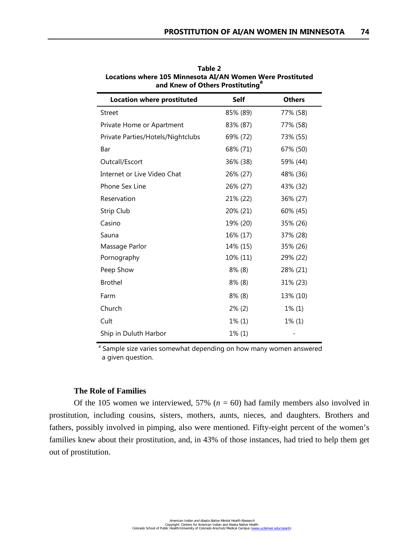| <b>Location where prostituted</b> | Self      | <b>Others</b> |
|-----------------------------------|-----------|---------------|
| <b>Street</b>                     | 85% (89)  | 77% (58)      |
| Private Home or Apartment         | 83% (87)  | 77% (58)      |
| Private Parties/Hotels/Nightclubs | 69% (72)  | 73% (55)      |
| Bar                               | 68% (71)  | 67% (50)      |
| Outcall/Escort                    | 36% (38)  | 59% (44)      |
| Internet or Live Video Chat       | 26% (27)  | 48% (36)      |
| Phone Sex Line                    | 26% (27)  | 43% (32)      |
| Reservation                       | 21% (22)  | 36% (27)      |
| Strip Club                        | 20% (21)  | 60% (45)      |
| Casino                            | 19% (20)  | 35% (26)      |
| Sauna                             | 16% (17)  | 37% (28)      |
| Massage Parlor                    | 14% (15)  | 35% (26)      |
| Pornography                       | 10% (11)  | 29% (22)      |
| Peep Show                         | $8\%$ (8) | 28% (21)      |
| <b>Brothel</b>                    | $8\%$ (8) | 31% (23)      |
| Farm                              | $8\%$ (8) | 13% (10)      |
| Church                            | $2\%$ (2) | $1\%$ (1)     |
| Cult                              | $1\%$ (1) | $1\%$ (1)     |
| Ship in Duluth Harbor             | $1\%$ (1) |               |

**Table 2 Locations where 105 Minnesota AI/AN Women Were Prostituted** and Knew of Others Prostituting<sup>a</sup>

<sup>a</sup> Sample size varies somewhat depending on how many women answered a given question.

# **The Role of Families**

Of the 105 women we interviewed, 57%  $(n = 60)$  had family members also involved in prostitution, including cousins, sisters, mothers, aunts, nieces, and daughters. Brothers and fathers, possibly involved in pimping, also were mentioned. Fifty-eight percent of the women's families knew about their prostitution, and, in 43% of those instances, had tried to help them get out of prostitution.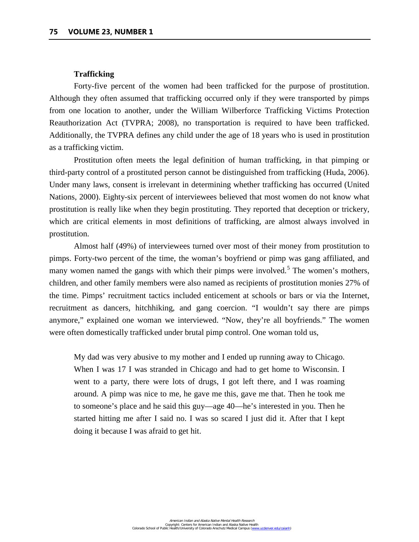#### **Trafficking**

Forty-five percent of the women had been trafficked for the purpose of prostitution. Although they often assumed that trafficking occurred only if they were transported by pimps from one location to another, under the William Wilberforce Trafficking Victims Protection Reauthorization Act (TVPRA; 2008), no transportation is required to have been trafficked. Additionally, the TVPRA defines any child under the age of 18 years who is used in prostitution as a trafficking victim.

Prostitution often meets the legal definition of human trafficking, in that pimping or third-party control of a prostituted person cannot be distinguished from trafficking (Huda, 2006). Under many laws, consent is irrelevant in determining whether trafficking has occurred (United Nations, 2000). Eighty-six percent of interviewees believed that most women do not know what prostitution is really like when they begin prostituting. They reported that deception or trickery, which are critical elements in most definitions of trafficking, are almost always involved in prostitution.

Almost half (49%) of interviewees turned over most of their money from prostitution to pimps. Forty-two percent of the time, the woman's boyfriend or pimp was gang affiliated, and many women named the gangs with which their pimps were involved.<sup>[5](#page-39-0)</sup> The women's mothers, children, and other family members were also named as recipients of prostitution monies 27% of the time. Pimps' recruitment tactics included enticement at schools or bars or via the Internet, recruitment as dancers, hitchhiking, and gang coercion. "I wouldn't say there are pimps anymore," explained one woman we interviewed. "Now, they're all boyfriends." The women were often domestically trafficked under brutal pimp control. One woman told us,

My dad was very abusive to my mother and I ended up running away to Chicago. When I was 17 I was stranded in Chicago and had to get home to Wisconsin. I went to a party, there were lots of drugs, I got left there, and I was roaming around. A pimp was nice to me, he gave me this, gave me that. Then he took me to someone's place and he said this guy—age 40—he's interested in you. Then he started hitting me after I said no. I was so scared I just did it. After that I kept doing it because I was afraid to get hit.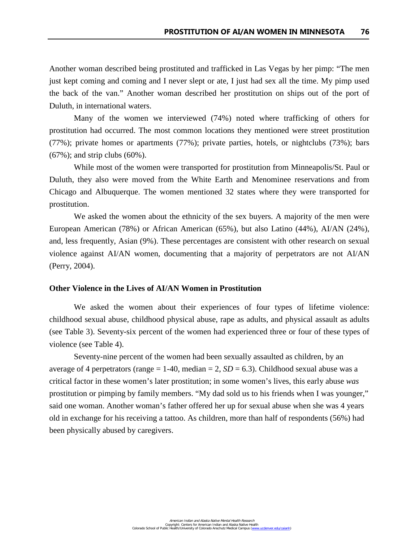Another woman described being prostituted and trafficked in Las Vegas by her pimp: "The men just kept coming and coming and I never slept or ate, I just had sex all the time. My pimp used the back of the van." Another woman described her prostitution on ships out of the port of Duluth, in international waters.

Many of the women we interviewed (74%) noted where trafficking of others for prostitution had occurred. The most common locations they mentioned were street prostitution (77%); private homes or apartments (77%); private parties, hotels, or nightclubs (73%); bars (67%); and strip clubs (60%).

While most of the women were transported for prostitution from Minneapolis/St. Paul or Duluth, they also were moved from the White Earth and Menominee reservations and from Chicago and Albuquerque. The women mentioned 32 states where they were transported for prostitution.

We asked the women about the ethnicity of the sex buyers. A majority of the men were European American (78%) or African American (65%), but also Latino (44%), AI/AN (24%), and, less frequently, Asian (9%). These percentages are consistent with other research on sexual violence against AI/AN women, documenting that a majority of perpetrators are not AI/AN (Perry, 2004).

## **Other Violence in the Lives of AI/AN Women in Prostitution**

We asked the women about their experiences of four types of lifetime violence: childhood sexual abuse, childhood physical abuse, rape as adults, and physical assault as adults (see Table 3). Seventy-six percent of the women had experienced three or four of these types of violence (see Table 4).

Seventy-nine percent of the women had been sexually assaulted as children, by an average of 4 perpetrators (range  $= 1-40$ , median  $= 2$ , *SD*  $= 6.3$ ). Childhood sexual abuse was a critical factor in these women's later prostitution; in some women's lives, this early abuse *was*  prostitution or pimping by family members. "My dad sold us to his friends when I was younger," said one woman. Another woman's father offered her up for sexual abuse when she was 4 years old in exchange for his receiving a tattoo. As children, more than half of respondents (56%) had been physically abused by caregivers.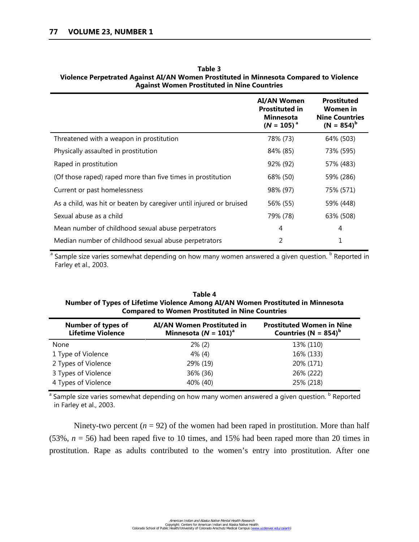|                                                                     | <b>AI/AN Women</b><br><b>Prostituted in</b><br><b>Minnesota</b><br>$(N = 105)^{a}$ | <b>Prostituted</b><br>Women in<br><b>Nine Countries</b><br>$(N = 854)^{b}$ |
|---------------------------------------------------------------------|------------------------------------------------------------------------------------|----------------------------------------------------------------------------|
| Threatened with a weapon in prostitution                            | 78% (73)                                                                           | 64% (503)                                                                  |
| Physically assaulted in prostitution                                | 84% (85)                                                                           | 73% (595)                                                                  |
| Raped in prostitution                                               | 92% (92)                                                                           | 57% (483)                                                                  |
| (Of those raped) raped more than five times in prostitution         | 68% (50)                                                                           | 59% (286)                                                                  |
| Current or past homelessness                                        | 98% (97)                                                                           | 75% (571)                                                                  |
| As a child, was hit or beaten by caregiver until injured or bruised | 56% (55)                                                                           | 59% (448)                                                                  |
| Sexual abuse as a child                                             | 79% (78)                                                                           | 63% (508)                                                                  |
| Mean number of childhood sexual abuse perpetrators                  | 4                                                                                  | 4                                                                          |
| Median number of childhood sexual abuse perpetrators                | 2                                                                                  | 1                                                                          |

**Table 3 Violence Perpetrated Against AI/AN Women Prostituted in Minnesota Compared to Violence Against Women Prostituted in Nine Countries**

<sup>a</sup> Sample size varies somewhat depending on how many women answered a given question. <sup>b</sup> Reported in Farley et al., 2003.

| Table 4                                                                         |
|---------------------------------------------------------------------------------|
| Number of Types of Lifetime Violence Among AI/AN Women Prostituted in Minnesota |
| <b>Compared to Women Prostituted in Nine Countries</b>                          |

| <b>Number of types of</b><br><b>Lifetime Violence</b> | <b>AI/AN Women Prostituted in</b><br>Minnesota ( $N = 101$ ) <sup>a</sup> | <b>Prostituted Women in Nine</b><br>Countries (N = $854$ ) <sup>b</sup> |
|-------------------------------------------------------|---------------------------------------------------------------------------|-------------------------------------------------------------------------|
| None                                                  | $2\%$ (2)                                                                 | 13% (110)                                                               |
| 1 Type of Violence                                    | $4\%$ (4)                                                                 | 16% (133)                                                               |
| 2 Types of Violence                                   | 29% (19)                                                                  | 20% (171)                                                               |
| 3 Types of Violence                                   | 36% (36)                                                                  | 26% (222)                                                               |
| 4 Types of Violence                                   | 40% (40)                                                                  | 25% (218)                                                               |

 $a$  Sample size varies somewhat depending on how many women answered a given question.  $b$  Reported in Farley et al., 2003.

Ninety-two percent  $(n = 92)$  of the women had been raped in prostitution. More than half (53%,  $n = 56$ ) had been raped five to 10 times, and 15% had been raped more than 20 times in prostitution. Rape as adults contributed to the women's entry into prostitution. After one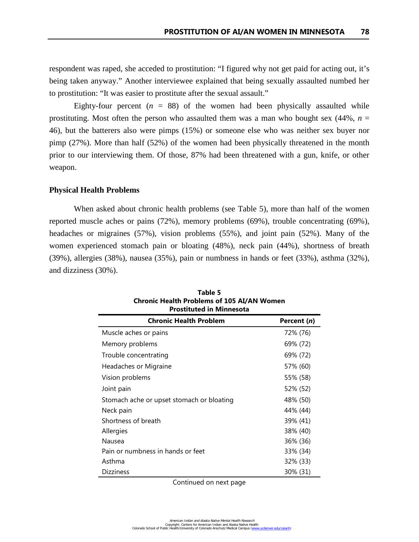respondent was raped, she acceded to prostitution: "I figured why not get paid for acting out, it's being taken anyway." Another interviewee explained that being sexually assaulted numbed her to prostitution: "It was easier to prostitute after the sexual assault."

Eighty-four percent  $(n = 88)$  of the women had been physically assaulted while prostituting. Most often the person who assaulted them was a man who bought sex  $(44\%, n =$ 46), but the batterers also were pimps (15%) or someone else who was neither sex buyer nor pimp (27%). More than half (52%) of the women had been physically threatened in the month prior to our interviewing them. Of those, 87% had been threatened with a gun, knife, or other weapon.

#### **Physical Health Problems**

When asked about chronic health problems (see Table 5), more than half of the women reported muscle aches or pains (72%), memory problems (69%), trouble concentrating (69%), headaches or migraines (57%), vision problems (55%), and joint pain (52%). Many of the women experienced stomach pain or bloating (48%), neck pain (44%), shortness of breath (39%), allergies (38%), nausea (35%), pain or numbness in hands or feet (33%), asthma (32%), and dizziness (30%).

| <b>Prostituted in Minnesota</b>           |             |  |  |
|-------------------------------------------|-------------|--|--|
| <b>Chronic Health Problem</b>             | Percent (n) |  |  |
| Muscle aches or pains                     | 72% (76)    |  |  |
| Memory problems                           | 69% (72)    |  |  |
| Trouble concentrating                     | 69% (72)    |  |  |
| Headaches or Migraine                     | 57% (60)    |  |  |
| Vision problems                           | 55% (58)    |  |  |
| Joint pain                                | 52% (52)    |  |  |
| Stomach ache or upset stomach or bloating | 48% (50)    |  |  |
| Neck pain                                 | 44% (44)    |  |  |
| Shortness of breath                       | 39% (41)    |  |  |
| Allergies                                 | 38% (40)    |  |  |
| Nausea                                    | 36% (36)    |  |  |
| Pain or numbness in hands or feet         | 33% (34)    |  |  |
| Asthma                                    | 32% (33)    |  |  |
| <b>Dizziness</b>                          | 30% (31)    |  |  |

**Table 5 Chronic Health Problems of 105 AI/AN Women** 

Continued on next page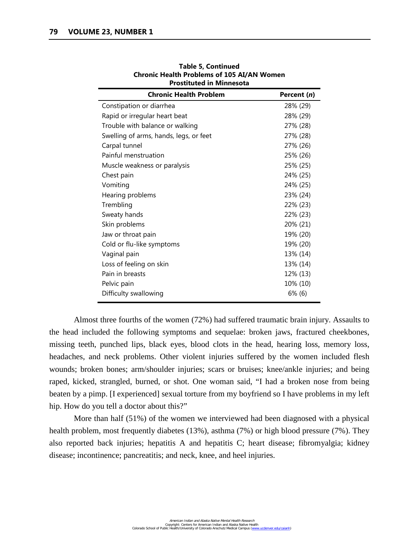| <b>Chronic Health Problem</b>          | Percent (n) |
|----------------------------------------|-------------|
| Constipation or diarrhea               | 28% (29)    |
| Rapid or irregular heart beat          | 28% (29)    |
| Trouble with balance or walking        | 27% (28)    |
| Swelling of arms, hands, legs, or feet | 27% (28)    |
| Carpal tunnel                          | 27% (26)    |
| Painful menstruation                   | 25% (26)    |
| Muscle weakness or paralysis           | 25% (25)    |
| Chest pain                             | 24% (25)    |
| Vomiting                               | 24% (25)    |
| Hearing problems                       | 23% (24)    |
| Trembling                              | 22% (23)    |
| Sweaty hands                           | 22% (23)    |
| Skin problems                          | 20% (21)    |
| Jaw or throat pain                     | 19% (20)    |
| Cold or flu-like symptoms              | 19% (20)    |
| Vaginal pain                           | 13% (14)    |
| Loss of feeling on skin                | 13% (14)    |
| Pain in breasts                        | 12% (13)    |
| Pelvic pain                            | 10% (10)    |
| Difficulty swallowing                  | $6\%$ (6)   |

**Table 5, Continued Chronic Health Problems of 105 AI/AN Women Prostituted in Minnesota**

Almost three fourths of the women (72%) had suffered traumatic brain injury. Assaults to the head included the following symptoms and sequelae: broken jaws, fractured cheekbones, missing teeth, punched lips, black eyes, blood clots in the head, hearing loss, memory loss, headaches, and neck problems. Other violent injuries suffered by the women included flesh wounds; broken bones; arm/shoulder injuries; scars or bruises; knee/ankle injuries; and being raped, kicked, strangled, burned, or shot. One woman said, "I had a broken nose from being beaten by a pimp. [I experienced] sexual torture from my boyfriend so I have problems in my left hip. How do you tell a doctor about this?"

More than half (51%) of the women we interviewed had been diagnosed with a physical health problem, most frequently diabetes (13%), asthma (7%) or high blood pressure (7%). They also reported back injuries; hepatitis A and hepatitis C; heart disease; fibromyalgia; kidney disease; incontinence; pancreatitis; and neck, knee, and heel injuries.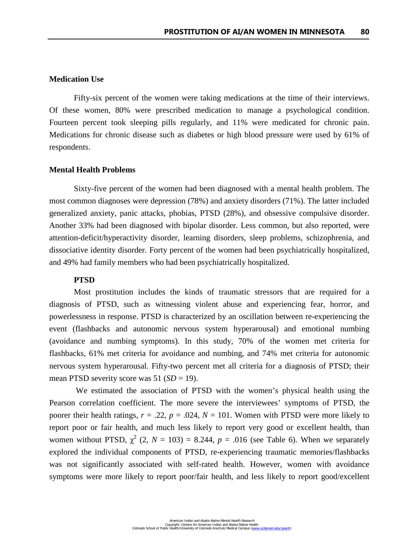# **Medication Use**

Fifty-six percent of the women were taking medications at the time of their interviews. Of these women, 80% were prescribed medication to manage a psychological condition. Fourteen percent took sleeping pills regularly, and 11% were medicated for chronic pain. Medications for chronic disease such as diabetes or high blood pressure were used by 61% of respondents.

## **Mental Health Problems**

Sixty-five percent of the women had been diagnosed with a mental health problem. The most common diagnoses were depression (78%) and anxiety disorders (71%). The latter included generalized anxiety, panic attacks, phobias, PTSD (28%), and obsessive compulsive disorder. Another 33% had been diagnosed with bipolar disorder. Less common, but also reported, were attention-deficit/hyperactivity disorder, learning disorders, sleep problems, schizophrenia, and dissociative identity disorder. Forty percent of the women had been psychiatrically hospitalized, and 49% had family members who had been psychiatrically hospitalized.

# **PTSD**

Most prostitution includes the kinds of traumatic stressors that are required for a diagnosis of PTSD, such as witnessing violent abuse and experiencing fear, horror, and powerlessness in response. PTSD is characterized by an oscillation between re-experiencing the event (flashbacks and autonomic nervous system hyperarousal) and emotional numbing (avoidance and numbing symptoms). In this study, 70% of the women met criteria for flashbacks, 61% met criteria for avoidance and numbing, and 74% met criteria for autonomic nervous system hyperarousal. Fifty-two percent met all criteria for a diagnosis of PTSD; their mean PTSD severity score was 51 (*SD* = 19).

 We estimated the association of PTSD with the women's physical health using the Pearson correlation coefficient. The more severe the interviewees' symptoms of PTSD, the poorer their health ratings,  $r = .22$ ,  $p = .024$ ,  $N = 101$ . Women with PTSD were more likely to report poor or fair health, and much less likely to report very good or excellent health, than women without PTSD,  $\chi^2$  (2,  $N = 103$ ) = 8.244,  $p = .016$  (see Table 6). When we separately explored the individual components of PTSD, re-experiencing traumatic memories/flashbacks was not significantly associated with self-rated health. However, women with avoidance symptoms were more likely to report poor/fair health, and less likely to report good/excellent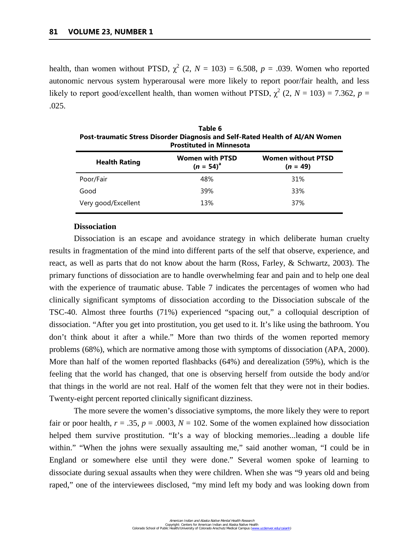health, than women without PTSD,  $\chi^2$  (2,  $N = 103$ ) = 6.508,  $p = .039$ . Women who reported autonomic nervous system hyperarousal were more likely to report poor/fair health, and less likely to report good/excellent health, than women without PTSD,  $\chi^2$  (2, *N* = 103) = 7.362, *p* = .025.

| Table 6<br>Post-traumatic Stress Disorder Diagnosis and Self-Rated Health of AI/AN Women<br><b>Prostituted in Minnesota</b> |                                          |                                         |  |
|-----------------------------------------------------------------------------------------------------------------------------|------------------------------------------|-----------------------------------------|--|
| <b>Health Rating</b>                                                                                                        | <b>Women with PTSD</b><br>$(n = 54)^{a}$ | <b>Women without PTSD</b><br>$(n = 49)$ |  |
| Poor/Fair                                                                                                                   | 48%                                      | 31%                                     |  |
| Good                                                                                                                        | 39%                                      | 33%                                     |  |
| Very good/Excellent                                                                                                         | 13%                                      | 37%                                     |  |

## **Dissociation**

Dissociation is an escape and avoidance strategy in which deliberate human cruelty results in fragmentation of the mind into different parts of the self that observe, experience, and react, as well as parts that do not know about the harm (Ross, Farley, & Schwartz, 2003). The primary functions of dissociation are to handle overwhelming fear and pain and to help one deal with the experience of traumatic abuse. Table 7 indicates the percentages of women who had clinically significant symptoms of dissociation according to the Dissociation subscale of the TSC-40. Almost three fourths (71%) experienced "spacing out," a colloquial description of dissociation. "After you get into prostitution, you get used to it. It's like using the bathroom. You don't think about it after a while." More than two thirds of the women reported memory problems (68%), which are normative among those with symptoms of dissociation (APA, 2000). More than half of the women reported flashbacks (64%) and derealization (59%), which is the feeling that the world has changed, that one is observing herself from outside the body and/or that things in the world are not real. Half of the women felt that they were not in their bodies. Twenty-eight percent reported clinically significant dizziness.

The more severe the women's dissociative symptoms, the more likely they were to report fair or poor health,  $r = .35$ ,  $p = .0003$ ,  $N = 102$ . Some of the women explained how dissociation helped them survive prostitution. "It's a way of blocking memories...leading a double life within." "When the johns were sexually assaulting me," said another woman, "I could be in England or somewhere else until they were done." Several women spoke of learning to dissociate during sexual assaults when they were children. When she was "9 years old and being raped," one of the interviewees disclosed, "my mind left my body and was looking down from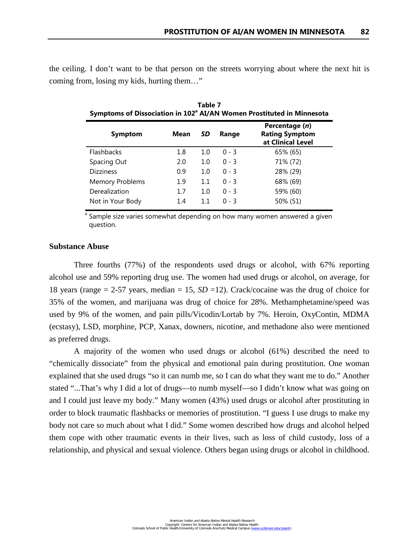the ceiling. I don't want to be that person on the streets worrying about where the next hit is coming from, losing my kids, hurting them…"

| Symptoms of Dissociation in 102° AI/AN Women Prostituted in Minnesota |      |     |         |                                                              |
|-----------------------------------------------------------------------|------|-----|---------|--------------------------------------------------------------|
| <b>Symptom</b>                                                        | Mean | SD  | Range   | Percentage (n)<br><b>Rating Symptom</b><br>at Clinical Level |
| <b>Flashbacks</b>                                                     | 1.8  | 1.0 | $0 - 3$ | 65% (65)                                                     |
| Spacing Out                                                           | 2.0  | 1.0 | $0 - 3$ | 71% (72)                                                     |
| <b>Dizziness</b>                                                      | 0.9  | 1.0 | $0 - 3$ | 28% (29)                                                     |
| <b>Memory Problems</b>                                                | 1.9  | 1.1 | $0 - 3$ | 68% (69)                                                     |
| Derealization                                                         | 1.7  | 1.0 | $0 - 3$ | 59% (60)                                                     |
| Not in Your Body                                                      | 1.4  | 1.1 | $0 - 3$ | 50% (51)                                                     |

**Table 7 Symptoms of Dissociation in 102<sup>a</sup> AI/AN Women Prostituted in Minnesota**

<sup>a</sup> Sample size varies somewhat depending on how many women answered a given question.

# **Substance Abuse**

Three fourths (77%) of the respondents used drugs or alcohol, with 67% reporting alcohol use and 59% reporting drug use. The women had used drugs or alcohol, on average, for 18 years (range = 2-57 years, median = 15, *SD* =12). Crack/cocaine was the drug of choice for 35% of the women, and marijuana was drug of choice for 28%. Methamphetamine/speed was used by 9% of the women, and pain pills/Vicodin/Lortab by 7%. Heroin, OxyContin, MDMA (ecstasy), LSD, morphine, PCP, Xanax, downers, nicotine, and methadone also were mentioned as preferred drugs.

A majority of the women who used drugs or alcohol (61%) described the need to "chemically dissociate" from the physical and emotional pain during prostitution. One woman explained that she used drugs "so it can numb me, so I can do what they want me to do." Another stated "...That's why I did a lot of drugs––to numb myself––so I didn't know what was going on and I could just leave my body." Many women (43%) used drugs or alcohol after prostituting in order to block traumatic flashbacks or memories of prostitution. "I guess I use drugs to make my body not care so much about what I did." Some women described how drugs and alcohol helped them cope with other traumatic events in their lives, such as loss of child custody, loss of a relationship, and physical and sexual violence. Others began using drugs or alcohol in childhood.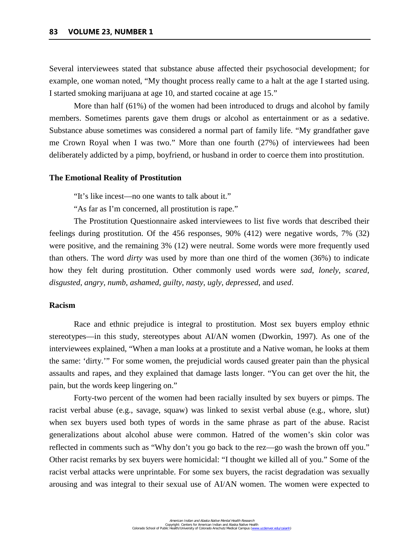Several interviewees stated that substance abuse affected their psychosocial development; for example, one woman noted, "My thought process really came to a halt at the age I started using. I started smoking marijuana at age 10, and started cocaine at age 15."

More than half (61%) of the women had been introduced to drugs and alcohol by family members. Sometimes parents gave them drugs or alcohol as entertainment or as a sedative. Substance abuse sometimes was considered a normal part of family life. "My grandfather gave me Crown Royal when I was two." More than one fourth (27%) of interviewees had been deliberately addicted by a pimp, boyfriend, or husband in order to coerce them into prostitution.

#### **The Emotional Reality of Prostitution**

"It's like incest––no one wants to talk about it."

"As far as I'm concerned, all prostitution is rape."

The Prostitution Questionnaire asked interviewees to list five words that described their feelings during prostitution. Of the 456 responses, 90% (412) were negative words, 7% (32) were positive, and the remaining 3% (12) were neutral. Some words were more frequently used than others. The word *dirty* was used by more than one third of the women (36%) to indicate how they felt during prostitution. Other commonly used words were *sad*, *lonely*, *scared*, *disgusted*, *angry*, *numb*, *ashamed*, *guilty*, *nasty*, *ugly*, *depressed*, and *used*.

## **Racism**

Race and ethnic prejudice is integral to prostitution. Most sex buyers employ ethnic stereotypes––in this study, stereotypes about AI/AN women (Dworkin, 1997). As one of the interviewees explained, "When a man looks at a prostitute and a Native woman, he looks at them the same: 'dirty.'" For some women, the prejudicial words caused greater pain than the physical assaults and rapes, and they explained that damage lasts longer. "You can get over the hit, the pain, but the words keep lingering on."

Forty-two percent of the women had been racially insulted by sex buyers or pimps. The racist verbal abuse (e.g., savage, squaw) was linked to sexist verbal abuse (e.g., whore, slut) when sex buyers used both types of words in the same phrase as part of the abuse. Racist generalizations about alcohol abuse were common. Hatred of the women's skin color was reflected in comments such as "Why don't you go back to the rez––go wash the brown off you." Other racist remarks by sex buyers were homicidal: "I thought we killed all of you." Some of the racist verbal attacks were unprintable. For some sex buyers, the racist degradation was sexually arousing and was integral to their sexual use of AI/AN women. The women were expected to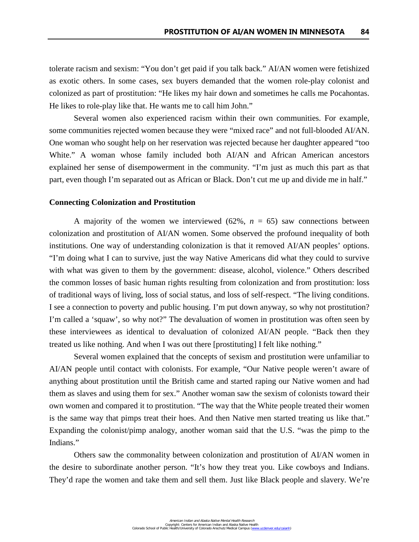tolerate racism and sexism: "You don't get paid if you talk back." AI/AN women were fetishized as exotic others. In some cases, sex buyers demanded that the women role-play colonist and colonized as part of prostitution: "He likes my hair down and sometimes he calls me Pocahontas. He likes to role-play like that. He wants me to call him John."

Several women also experienced racism within their own communities. For example, some communities rejected women because they were "mixed race" and not full-blooded AI/AN. One woman who sought help on her reservation was rejected because her daughter appeared "too White." A woman whose family included both AI/AN and African American ancestors explained her sense of disempowerment in the community. "I'm just as much this part as that part, even though I'm separated out as African or Black. Don't cut me up and divide me in half."

#### **Connecting Colonization and Prostitution**

A majority of the women we interviewed  $(62\%, n = 65)$  saw connections between colonization and prostitution of AI/AN women. Some observed the profound inequality of both institutions. One way of understanding colonization is that it removed AI/AN peoples' options. "I'm doing what I can to survive, just the way Native Americans did what they could to survive with what was given to them by the government: disease, alcohol, violence." Others described the common losses of basic human rights resulting from colonization and from prostitution: loss of traditional ways of living, loss of social status, and loss of self-respect. "The living conditions. I see a connection to poverty and public housing. I'm put down anyway, so why not prostitution? I'm called a 'squaw', so why not?" The devaluation of women in prostitution was often seen by these interviewees as identical to devaluation of colonized AI/AN people. "Back then they treated us like nothing. And when I was out there [prostituting] I felt like nothing."

Several women explained that the concepts of sexism and prostitution were unfamiliar to AI/AN people until contact with colonists. For example, "Our Native people weren't aware of anything about prostitution until the British came and started raping our Native women and had them as slaves and using them for sex." Another woman saw the sexism of colonists toward their own women and compared it to prostitution. "The way that the White people treated their women is the same way that pimps treat their hoes. And then Native men started treating us like that." Expanding the colonist/pimp analogy, another woman said that the U.S. "was the pimp to the Indians."

Others saw the commonality between colonization and prostitution of AI/AN women in the desire to subordinate another person. "It's how they treat you. Like cowboys and Indians. They'd rape the women and take them and sell them. Just like Black people and slavery. We're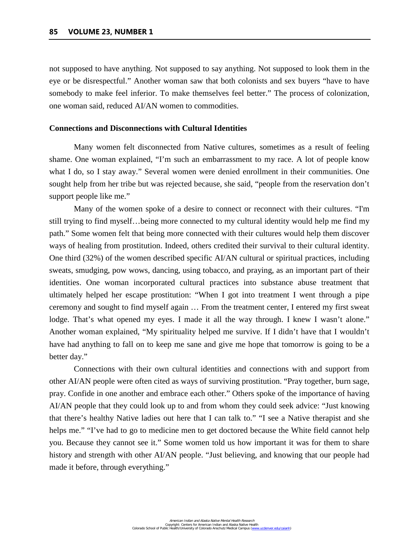not supposed to have anything. Not supposed to say anything. Not supposed to look them in the eye or be disrespectful." Another woman saw that both colonists and sex buyers "have to have somebody to make feel inferior. To make themselves feel better." The process of colonization, one woman said, reduced AI/AN women to commodities.

# **Connections and Disconnections with Cultural Identities**

Many women felt disconnected from Native cultures, sometimes as a result of feeling shame. One woman explained, "I'm such an embarrassment to my race. A lot of people know what I do, so I stay away." Several women were denied enrollment in their communities. One sought help from her tribe but was rejected because, she said, "people from the reservation don't support people like me."

Many of the women spoke of a desire to connect or reconnect with their cultures. "I'm still trying to find myself…being more connected to my cultural identity would help me find my path." Some women felt that being more connected with their cultures would help them discover ways of healing from prostitution. Indeed, others credited their survival to their cultural identity. One third (32%) of the women described specific AI/AN cultural or spiritual practices, including sweats, smudging, pow wows, dancing, using tobacco, and praying, as an important part of their identities. One woman incorporated cultural practices into substance abuse treatment that ultimately helped her escape prostitution: "When I got into treatment I went through a pipe ceremony and sought to find myself again … From the treatment center, I entered my first sweat lodge. That's what opened my eyes. I made it all the way through. I knew I wasn't alone." Another woman explained, "My spirituality helped me survive. If I didn't have that I wouldn't have had anything to fall on to keep me sane and give me hope that tomorrow is going to be a better day."

Connections with their own cultural identities and connections with and support from other AI/AN people were often cited as ways of surviving prostitution. "Pray together, burn sage, pray. Confide in one another and embrace each other." Others spoke of the importance of having AI/AN people that they could look up to and from whom they could seek advice: "Just knowing that there's healthy Native ladies out here that I can talk to." "I see a Native therapist and she helps me." "I've had to go to medicine men to get doctored because the White field cannot help you. Because they cannot see it." Some women told us how important it was for them to share history and strength with other AI/AN people. "Just believing, and knowing that our people had made it before, through everything."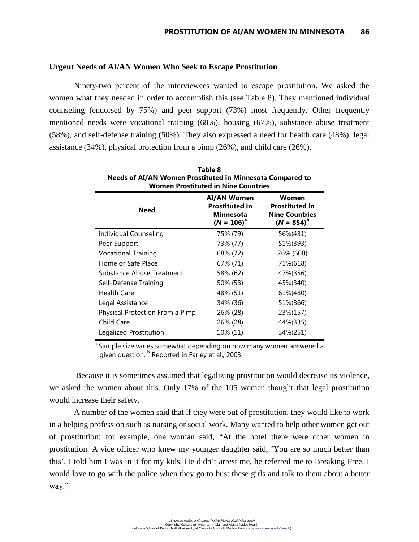#### **Urgent Needs of AI/AN Women Who Seek to Escape Prostitution**

Ninety-two percent of the interviewees wanted to escape prostitution. We asked the women what they needed in order to accomplish this (see Table 8). They mentioned individual counseling (endorsed by 75%) and peer support (73%) most frequently. Other frequently mentioned needs were vocational training (68%), housing (67%), substance abuse treatment (58%), and self-defense training (50%). They also expressed a need for health care (48%), legal assistance (34%), physical protection from a pimp (26%), and child care (26%).

| Table 8<br>Needs of AI/AN Women Prostituted in Minnesota Compared to<br><b>Women Prostituted in Nine Countries</b> |                                                                                  |                                                                            |  |
|--------------------------------------------------------------------------------------------------------------------|----------------------------------------------------------------------------------|----------------------------------------------------------------------------|--|
| <b>Need</b>                                                                                                        | <b>AI/AN Women</b><br><b>Prostituted in</b><br><b>Minnesota</b><br>$(N = 106)^a$ | Women<br><b>Prostituted in</b><br><b>Nine Countries</b><br>$(N = 854)^{b}$ |  |
| Individual Counseling                                                                                              | 75% (79)                                                                         | 56%(431)                                                                   |  |
| Peer Support                                                                                                       | 73% (77)                                                                         | 51%(393)                                                                   |  |
| <b>Vocational Training</b>                                                                                         | 68% (72)                                                                         | 76% (600)                                                                  |  |
| Home or Safe Place                                                                                                 | 67% (71)                                                                         | 75%(618)                                                                   |  |
| <b>Substance Abuse Treatment</b>                                                                                   | 58% (62)                                                                         | 47%(356)                                                                   |  |
| Self-Defense Training                                                                                              | 50% (53)                                                                         | 45%(340)                                                                   |  |
| <b>Health Care</b>                                                                                                 | 48% (51)                                                                         | 61%(480)                                                                   |  |
| Legal Assistance                                                                                                   | 34% (36)                                                                         | 51%(366)                                                                   |  |
| Physical Protection From a Pimp                                                                                    | 26% (28)                                                                         | 23%(157)                                                                   |  |
| Child Care                                                                                                         | 26% (28)                                                                         | 44%(335)                                                                   |  |
| Legalized Prostitution                                                                                             | 10% (11)                                                                         | 34%(251)                                                                   |  |

<sup>a</sup> Sample size varies somewhat depending on how many women answered a given question.  $\frac{b}{c}$  Reported in Farley et al., 2003.

 Because it is sometimes assumed that legalizing prostitution would decrease its violence, we asked the women about this. Only 17% of the 105 women thought that legal prostitution would increase their safety.

 A number of the women said that if they were out of prostitution, they would like to work in a helping profession such as nursing or social work. Many wanted to help other women get out of prostitution; for example, one woman said, "At the hotel there were other women in prostitution. A vice officer who knew my younger daughter said, 'You are so much better than this'. I told him I was in it for my kids. He didn't arrest me, he referred me to Breaking Free. I would love to go with the police when they go to bust these girls and talk to them about a better way."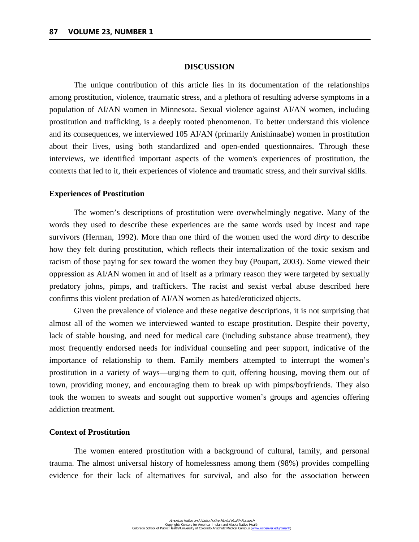#### **DISCUSSION**

The unique contribution of this article lies in its documentation of the relationships among prostitution, violence, traumatic stress, and a plethora of resulting adverse symptoms in a population of AI/AN women in Minnesota. Sexual violence against AI/AN women, including prostitution and trafficking, is a deeply rooted phenomenon. To better understand this violence and its consequences, we interviewed 105 AI/AN (primarily Anishinaabe) women in prostitution about their lives, using both standardized and open-ended questionnaires. Through these interviews, we identified important aspects of the women's experiences of prostitution, the contexts that led to it, their experiences of violence and traumatic stress, and their survival skills.

## **Experiences of Prostitution**

The women's descriptions of prostitution were overwhelmingly negative. Many of the words they used to describe these experiences are the same words used by incest and rape survivors (Herman, 1992). More than one third of the women used the word *dirty* to describe how they felt during prostitution, which reflects their internalization of the toxic sexism and racism of those paying for sex toward the women they buy (Poupart, 2003). Some viewed their oppression as AI/AN women in and of itself as a primary reason they were targeted by sexually predatory johns, pimps, and traffickers. The racist and sexist verbal abuse described here confirms this violent predation of AI/AN women as hated/eroticized objects.

Given the prevalence of violence and these negative descriptions, it is not surprising that almost all of the women we interviewed wanted to escape prostitution. Despite their poverty, lack of stable housing, and need for medical care (including substance abuse treatment), they most frequently endorsed needs for individual counseling and peer support, indicative of the importance of relationship to them. Family members attempted to interrupt the women's prostitution in a variety of ways—urging them to quit, offering housing, moving them out of town, providing money, and encouraging them to break up with pimps/boyfriends. They also took the women to sweats and sought out supportive women's groups and agencies offering addiction treatment.

#### **Context of Prostitution**

The women entered prostitution with a background of cultural, family, and personal trauma. The almost universal history of homelessness among them (98%) provides compelling evidence for their lack of alternatives for survival, and also for the association between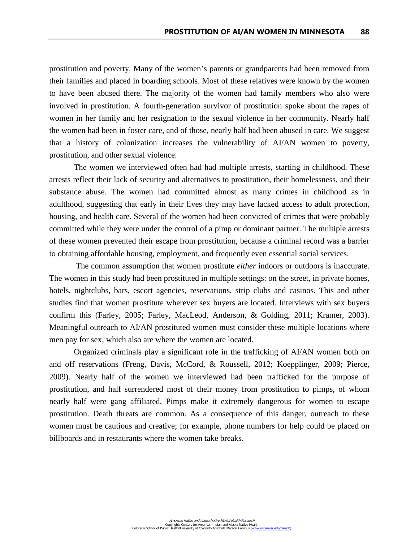prostitution and poverty. Many of the women's parents or grandparents had been removed from their families and placed in boarding schools. Most of these relatives were known by the women to have been abused there. The majority of the women had family members who also were involved in prostitution. A fourth-generation survivor of prostitution spoke about the rapes of women in her family and her resignation to the sexual violence in her community. Nearly half the women had been in foster care, and of those, nearly half had been abused in care. We suggest that a history of colonization increases the vulnerability of AI/AN women to poverty, prostitution, and other sexual violence.

The women we interviewed often had had multiple arrests, starting in childhood. These arrests reflect their lack of security and alternatives to prostitution, their homelessness, and their substance abuse. The women had committed almost as many crimes in childhood as in adulthood, suggesting that early in their lives they may have lacked access to adult protection, housing, and health care. Several of the women had been convicted of crimes that were probably committed while they were under the control of a pimp or dominant partner. The multiple arrests of these women prevented their escape from prostitution, because a criminal record was a barrier to obtaining affordable housing, employment, and frequently even essential social services.

The common assumption that women prostitute *either* indoors or outdoors is inaccurate. The women in this study had been prostituted in multiple settings: on the street, in private homes, hotels, nightclubs, bars, escort agencies, reservations, strip clubs and casinos. This and other studies find that women prostitute wherever sex buyers are located. Interviews with sex buyers confirm this (Farley, 2005; Farley, MacLeod, Anderson, & Golding, 2011; Kramer, 2003). Meaningful outreach to AI/AN prostituted women must consider these multiple locations where men pay for sex, which also are where the women are located.

Organized criminals play a significant role in the trafficking of AI/AN women both on and off reservations (Freng, Davis, McCord, & Roussell, 2012; Koepplinger, 2009; Pierce, 2009). Nearly half of the women we interviewed had been trafficked for the purpose of prostitution, and half surrendered most of their money from prostitution to pimps, of whom nearly half were gang affiliated. Pimps make it extremely dangerous for women to escape prostitution. Death threats are common. As a consequence of this danger, outreach to these women must be cautious and creative; for example, phone numbers for help could be placed on billboards and in restaurants where the women take breaks.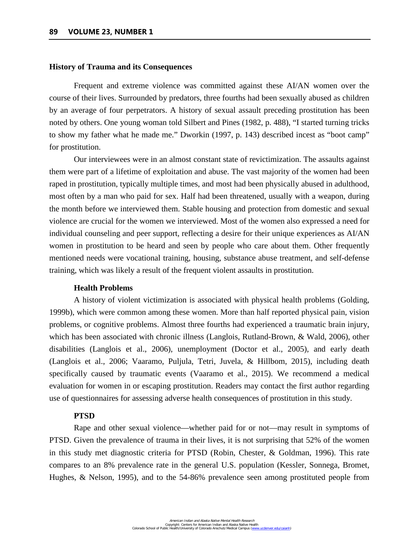#### **History of Trauma and its Consequences**

Frequent and extreme violence was committed against these AI/AN women over the course of their lives. Surrounded by predators, three fourths had been sexually abused as children by an average of four perpetrators. A history of sexual assault preceding prostitution has been noted by others. One young woman told Silbert and Pines (1982, p. 488), "I started turning tricks to show my father what he made me." Dworkin (1997, p. 143) described incest as "boot camp" for prostitution.

Our interviewees were in an almost constant state of revictimization. The assaults against them were part of a lifetime of exploitation and abuse. The vast majority of the women had been raped in prostitution, typically multiple times, and most had been physically abused in adulthood, most often by a man who paid for sex. Half had been threatened, usually with a weapon, during the month before we interviewed them. Stable housing and protection from domestic and sexual violence are crucial for the women we interviewed. Most of the women also expressed a need for individual counseling and peer support, reflecting a desire for their unique experiences as AI/AN women in prostitution to be heard and seen by people who care about them. Other frequently mentioned needs were vocational training, housing, substance abuse treatment, and self-defense training, which was likely a result of the frequent violent assaults in prostitution.

## **Health Problems**

A history of violent victimization is associated with physical health problems (Golding, 1999b), which were common among these women. More than half reported physical pain, vision problems, or cognitive problems. Almost three fourths had experienced a traumatic brain injury, which has been associated with chronic illness (Langlois, Rutland-Brown, & Wald, 2006), other disabilities (Langlois et al., 2006), unemployment (Doctor et al., 2005), and early death (Langlois et al., 2006; Vaaramo, Puljula, Tetri, Juvela, & Hillbom, 2015), including death specifically caused by traumatic events (Vaaramo et al., 2015). We recommend a medical evaluation for women in or escaping prostitution. Readers may contact the first author regarding use of questionnaires for assessing adverse health consequences of prostitution in this study.

#### **PTSD**

Rape and other sexual violence––whether paid for or not––may result in symptoms of PTSD. Given the prevalence of trauma in their lives, it is not surprising that 52% of the women in this study met diagnostic criteria for PTSD (Robin, Chester, & Goldman, 1996). This rate compares to an 8% prevalence rate in the general U.S. population (Kessler, Sonnega, Bromet, Hughes, & Nelson, 1995), and to the 54-86% prevalence seen among prostituted people from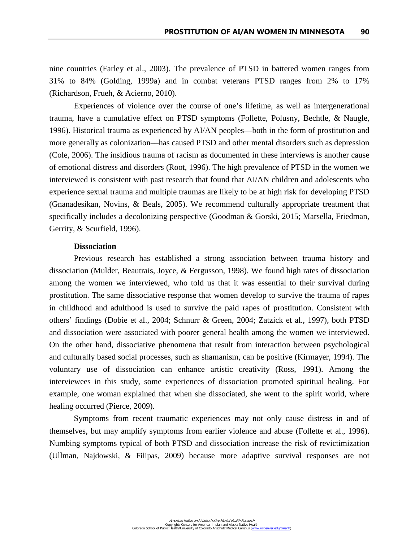nine countries (Farley et al., 2003). The prevalence of PTSD in battered women ranges from 31% to 84% (Golding, 1999a) and in combat veterans PTSD ranges from 2% to 17% (Richardson, Frueh, & Acierno, 2010).

Experiences of violence over the course of one's lifetime, as well as intergenerational trauma, have a cumulative effect on PTSD symptoms (Follette, Polusny, Bechtle, & Naugle, 1996). Historical trauma as experienced by AI/AN peoples––both in the form of prostitution and more generally as colonization––has caused PTSD and other mental disorders such as depression (Cole, 2006). The insidious trauma of racism as documented in these interviews is another cause of emotional distress and disorders (Root, 1996). The high prevalence of PTSD in the women we interviewed is consistent with past research that found that AI/AN children and adolescents who experience sexual trauma and multiple traumas are likely to be at high risk for developing PTSD (Gnanadesikan, Novins, & Beals, 2005). We recommend culturally appropriate treatment that specifically includes a decolonizing perspective (Goodman & Gorski, 2015; Marsella, Friedman, Gerrity, & Scurfield, 1996).

## **Dissociation**

Previous research has established a strong association between trauma history and dissociation (Mulder, Beautrais, Joyce, & Fergusson, 1998). We found high rates of dissociation among the women we interviewed, who told us that it was essential to their survival during prostitution. The same dissociative response that women develop to survive the trauma of rapes in childhood and adulthood is used to survive the paid rapes of prostitution. Consistent with others' findings (Dobie et al., 2004; Schnurr & Green, 2004; Zatzick et al., 1997), both PTSD and dissociation were associated with poorer general health among the women we interviewed. On the other hand, dissociative phenomena that result from interaction between psychological and culturally based social processes, such as shamanism, can be positive (Kirmayer, 1994). The voluntary use of dissociation can enhance artistic creativity (Ross, 1991). Among the interviewees in this study, some experiences of dissociation promoted spiritual healing. For example, one woman explained that when she dissociated, she went to the spirit world, where healing occurred (Pierce, 2009).

Symptoms from recent traumatic experiences may not only cause distress in and of themselves, but may amplify symptoms from earlier violence and abuse (Follette et al., 1996). Numbing symptoms typical of both PTSD and dissociation increase the risk of revictimization (Ullman, Najdowski, & Filipas, 2009) because more adaptive survival responses are not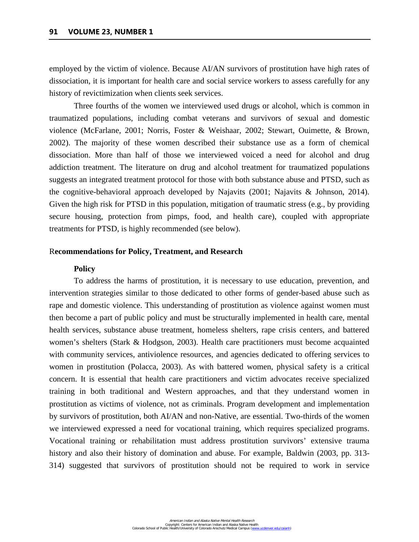employed by the victim of violence. Because AI/AN survivors of prostitution have high rates of dissociation, it is important for health care and social service workers to assess carefully for any history of revictimization when clients seek services.

Three fourths of the women we interviewed used drugs or alcohol, which is common in traumatized populations, including combat veterans and survivors of sexual and domestic violence (McFarlane, 2001; Norris, Foster & Weishaar, 2002; Stewart, Ouimette, & Brown, 2002). The majority of these women described their substance use as a form of chemical dissociation. More than half of those we interviewed voiced a need for alcohol and drug addiction treatment. The literature on drug and alcohol treatment for traumatized populations suggests an integrated treatment protocol for those with both substance abuse and PTSD, such as the cognitive-behavioral approach developed by Najavits (2001; Najavits & Johnson, 2014). Given the high risk for PTSD in this population, mitigation of traumatic stress (e.g., by providing secure housing, protection from pimps, food, and health care), coupled with appropriate treatments for PTSD, is highly recommended (see below).

#### R**ecommendations for Policy, Treatment, and Research**

## **Policy**

To address the harms of prostitution, it is necessary to use education, prevention, and intervention strategies similar to those dedicated to other forms of gender-based abuse such as rape and domestic violence. This understanding of prostitution as violence against women must then become a part of public policy and must be structurally implemented in health care, mental health services, substance abuse treatment, homeless shelters, rape crisis centers, and battered women's shelters (Stark & Hodgson, 2003). Health care practitioners must become acquainted with community services, antiviolence resources, and agencies dedicated to offering services to women in prostitution (Polacca, 2003). As with battered women, physical safety is a critical concern. It is essential that health care practitioners and victim advocates receive specialized training in both traditional and Western approaches, and that they understand women in prostitution as victims of violence, not as criminals. Program development and implementation by survivors of prostitution, both AI/AN and non-Native, are essential. Two-thirds of the women we interviewed expressed a need for vocational training, which requires specialized programs. Vocational training or rehabilitation must address prostitution survivors' extensive trauma history and also their history of domination and abuse. For example, Baldwin (2003, pp. 313- 314) suggested that survivors of prostitution should not be required to work in service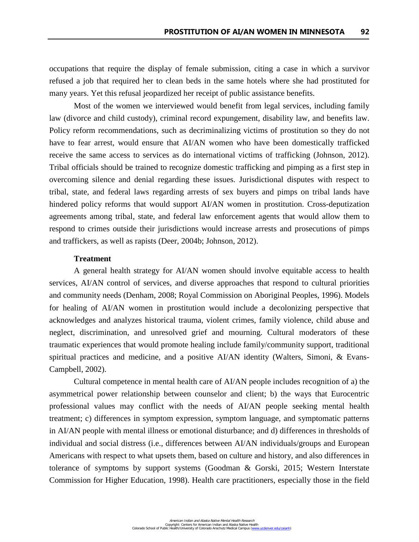occupations that require the display of female submission, citing a case in which a survivor refused a job that required her to clean beds in the same hotels where she had prostituted for many years. Yet this refusal jeopardized her receipt of public assistance benefits.

Most of the women we interviewed would benefit from legal services, including family law (divorce and child custody), criminal record expungement, disability law, and benefits law. Policy reform recommendations, such as decriminalizing victims of prostitution so they do not have to fear arrest, would ensure that AI/AN women who have been domestically trafficked receive the same access to services as do international victims of trafficking (Johnson, 2012). Tribal officials should be trained to recognize domestic trafficking and pimping as a first step in overcoming silence and denial regarding these issues. Jurisdictional disputes with respect to tribal, state, and federal laws regarding arrests of sex buyers and pimps on tribal lands have hindered policy reforms that would support AI/AN women in prostitution. Cross-deputization agreements among tribal, state, and federal law enforcement agents that would allow them to respond to crimes outside their jurisdictions would increase arrests and prosecutions of pimps and traffickers, as well as rapists (Deer, 2004b; Johnson, 2012).

# **Treatment**

A general health strategy for AI/AN women should involve equitable access to health services, AI/AN control of services, and diverse approaches that respond to cultural priorities and community needs (Denham, 2008; Royal Commission on Aboriginal Peoples, 1996). Models for healing of AI/AN women in prostitution would include a decolonizing perspective that acknowledges and analyzes historical trauma, violent crimes, family violence, child abuse and neglect, discrimination, and unresolved grief and mourning. Cultural moderators of these traumatic experiences that would promote healing include family/community support, traditional spiritual practices and medicine, and a positive AI/AN identity (Walters, Simoni, & Evans-Campbell, 2002).

Cultural competence in mental health care of AI/AN people includes recognition of a) the asymmetrical power relationship between counselor and client; b) the ways that Eurocentric professional values may conflict with the needs of AI/AN people seeking mental health treatment; c) differences in symptom expression, symptom language, and symptomatic patterns in AI/AN people with mental illness or emotional disturbance; and d) differences in thresholds of individual and social distress (i.e., differences between AI/AN individuals/groups and European Americans with respect to what upsets them, based on culture and history, and also differences in tolerance of symptoms by support systems (Goodman & Gorski, 2015; Western Interstate Commission for Higher Education, 1998). Health care practitioners, especially those in the field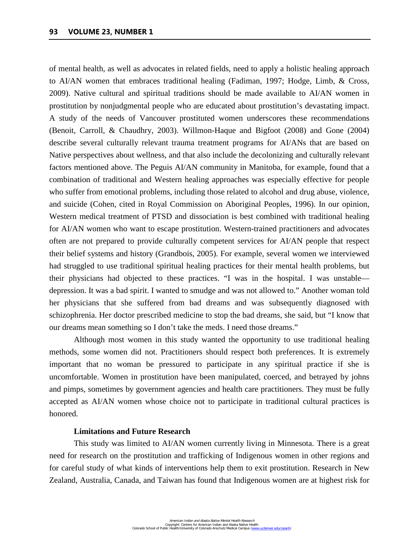of mental health, as well as advocates in related fields, need to apply a holistic healing approach to AI/AN women that embraces traditional healing (Fadiman, 1997; Hodge, Limb, & Cross, 2009). Native cultural and spiritual traditions should be made available to AI/AN women in prostitution by nonjudgmental people who are educated about prostitution's devastating impact. A study of the needs of Vancouver prostituted women underscores these recommendations (Benoit, Carroll, & Chaudhry, 2003). Willmon-Haque and Bigfoot (2008) and Gone (2004) describe several culturally relevant trauma treatment programs for AI/ANs that are based on Native perspectives about wellness, and that also include the decolonizing and culturally relevant factors mentioned above. The Peguis AI/AN community in Manitoba, for example, found that a combination of traditional and Western healing approaches was especially effective for people who suffer from emotional problems, including those related to alcohol and drug abuse, violence, and suicide (Cohen, cited in Royal Commission on Aboriginal Peoples, 1996). In our opinion, Western medical treatment of PTSD and dissociation is best combined with traditional healing for AI/AN women who want to escape prostitution. Western-trained practitioners and advocates often are not prepared to provide culturally competent services for AI/AN people that respect their belief systems and history (Grandbois, 2005). For example, several women we interviewed had struggled to use traditional spiritual healing practices for their mental health problems, but their physicians had objected to these practices. "I was in the hospital. I was unstable depression. It was a bad spirit. I wanted to smudge and was not allowed to." Another woman told her physicians that she suffered from bad dreams and was subsequently diagnosed with schizophrenia. Her doctor prescribed medicine to stop the bad dreams, she said, but "I know that our dreams mean something so I don't take the meds. I need those dreams."

Although most women in this study wanted the opportunity to use traditional healing methods, some women did not. Practitioners should respect both preferences. It is extremely important that no woman be pressured to participate in any spiritual practice if she is uncomfortable. Women in prostitution have been manipulated, coerced, and betrayed by johns and pimps, sometimes by government agencies and health care practitioners. They must be fully accepted as AI/AN women whose choice not to participate in traditional cultural practices is honored.

#### **Limitations and Future Research**

This study was limited to AI/AN women currently living in Minnesota. There is a great need for research on the prostitution and trafficking of Indigenous women in other regions and for careful study of what kinds of interventions help them to exit prostitution. Research in New Zealand, Australia, Canada, and Taiwan has found that Indigenous women are at highest risk for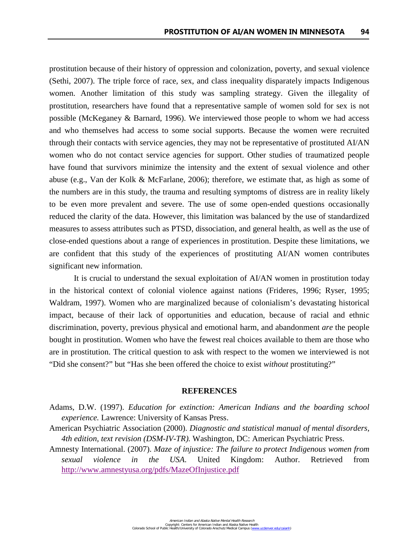prostitution because of their history of oppression and colonization, poverty, and sexual violence (Sethi, 2007). The triple force of race, sex, and class inequality disparately impacts Indigenous women. Another limitation of this study was sampling strategy. Given the illegality of prostitution, researchers have found that a representative sample of women sold for sex is not possible (McKeganey & Barnard, 1996). We interviewed those people to whom we had access and who themselves had access to some social supports. Because the women were recruited through their contacts with service agencies, they may not be representative of prostituted AI/AN women who do not contact service agencies for support. Other studies of traumatized people have found that survivors minimize the intensity and the extent of sexual violence and other abuse (e.g., Van der Kolk & McFarlane, 2006); therefore, we estimate that, as high as some of the numbers are in this study, the trauma and resulting symptoms of distress are in reality likely to be even more prevalent and severe. The use of some open-ended questions occasionally reduced the clarity of the data. However, this limitation was balanced by the use of standardized measures to assess attributes such as PTSD, dissociation, and general health, as well as the use of close-ended questions about a range of experiences in prostitution. Despite these limitations, we are confident that this study of the experiences of prostituting AI/AN women contributes significant new information.

It is crucial to understand the sexual exploitation of AI/AN women in prostitution today in the historical context of colonial violence against nations (Frideres, 1996; Ryser, 1995; Waldram, 1997). Women who are marginalized because of colonialism's devastating historical impact, because of their lack of opportunities and education, because of racial and ethnic discrimination, poverty, previous physical and emotional harm, and abandonment *are* the people bought in prostitution. Women who have the fewest real choices available to them are those who are in prostitution. The critical question to ask with respect to the women we interviewed is not "Did she consent?" but "Has she been offered the choice to exist *without* prostituting?"

#### **REFERENCES**

- Adams, D.W. (1997). *Education for extinction: American Indians and the boarding school experience.* Lawrence: University of Kansas Press.
- American Psychiatric Association (2000). *Diagnostic and statistical manual of mental disorders, 4th edition, text revision (DSM-IV-TR).* Washington, DC: American Psychiatric Press.
- Amnesty International. (2007). *Maze of injustice: The failure to protect Indigenous women from sexual violence in the USA*. United Kingdom: Author. Retrieved from <http://www.amnestyusa.org/pdfs/MazeOfInjustice.pdf>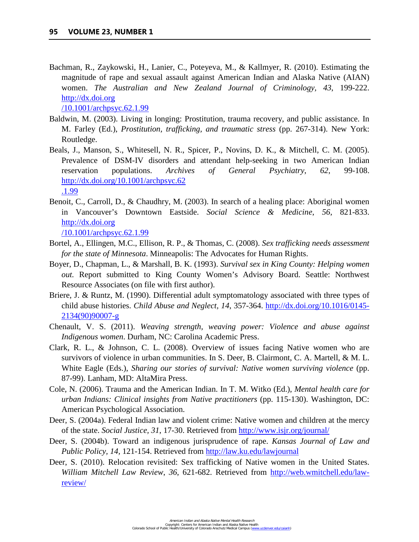Bachman, R., Zaykowski, H., Lanier, C., Poteyeva, M., & Kallmyer, R. (2010). Estimating the magnitude of rape and sexual assault against American Indian and Alaska Native (AIAN) women. *The Australian and New Zealand Journal of Criminology, 43*, 199-222. http://dx.doi.org

/10.1001/archpsyc.62.1.99

- Baldwin, M. (2003). Living in longing: Prostitution, trauma recovery, and public assistance. In M. Farley (Ed.), *Prostitution, trafficking, and traumatic stress* (pp. 267-314). New York: Routledge.
- Beals, J., Manson, S., Whitesell, N. R., Spicer, P., Novins, D. K., & Mitchell, C. M. (2005). Prevalence of DSM-IV disorders and attendant help-seeking in two American Indian reservation populations. *Archives of General Psychiatry*, *62*, 99-108. [http://dx.doi.org/10.1001/archpsyc.62](http://dx.doi.org/10.1001/archpsyc.62%0b.1.99)  [.1.99](http://dx.doi.org/10.1001/archpsyc.62%0b.1.99)
- Benoit, C., Carroll, D., & Chaudhry, M. (2003). In search of a healing place: Aboriginal women in Vancouver's Downtown Eastside. *Social Science & Medicine*, *56*, 821-833. http://dx.doi.org

/10.1001/archpsyc.62.1.99

- Bortel, A., Ellingen, M.C., Ellison, R. P., & Thomas, C. (2008). *Sex trafficking needs assessment for the state of Minnesota*. Minneapolis: The Advocates for Human Rights.
- Boyer, D., Chapman, L., & Marshall, B. K. (1993). *Survival sex in King County: Helping women out.* Report submitted to King County Women's Advisory Board. Seattle: Northwest Resource Associates (on file with first author).
- Briere, J. & Runtz, M. (1990). Differential adult symptomatology associated with three types of child abuse histories. *Child Abuse and Neglect, 14*, 357-364. [http://dx.doi.org/10.1016/0145-](http://dx.doi.org/10.1016/0145-2134(90)90007-g) [2134\(90\)90007-g](http://dx.doi.org/10.1016/0145-2134(90)90007-g)
- Chenault, V. S. (2011). *Weaving strength, weaving power: Violence and abuse against Indigenous women*. Durham, NC: Carolina Academic Press.
- Clark, R. L., & Johnson, C. L. (2008). Overview of issues facing Native women who are survivors of violence in urban communities. In S. Deer, B. Clairmont, C. A. Martell, & M. L. White Eagle (Eds.), *Sharing our stories of survival: Native women surviving violence* (pp. 87-99). Lanham, MD: AltaMira Press.
- Cole, N. (2006). Trauma and the American Indian. In T. M. Witko (Ed.), *Mental health care for urban Indians: Clinical insights from Native practitioners* (pp. 115-130). Washington, DC: American Psychological Association.
- Deer, S. (2004a). Federal Indian law and violent crime: Native women and children at the mercy of the state. *Social Justice, 31*, 17-30. Retrieved from<http://www.isjr.org/journal/>
- Deer, S. (2004b). Toward an indigenous jurisprudence of rape. *Kansas Journal of Law and Public Policy, 14,* 121-154. Retrieved from<http://law.ku.edu/lawjournal>
- Deer, S. (2010). Relocation revisited: Sex trafficking of Native women in the United States. *William Mitchell Law Review*, *36*, 621-682. Retrieved from [http://web.wmitchell.edu/law](http://web.wmitchell.edu/law-review/)[review/](http://web.wmitchell.edu/law-review/)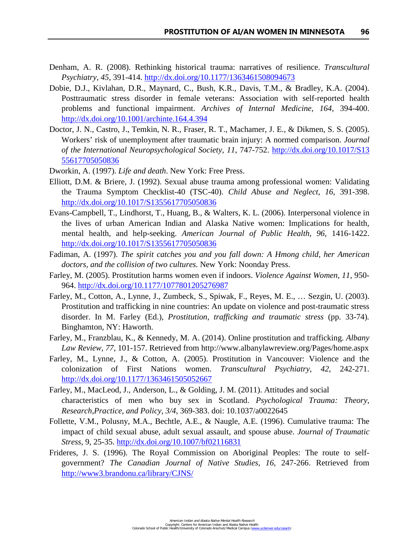- Denham, A. R. (2008). Rethinking historical trauma: narratives of resilience. *Transcultural Psychiatry*, *45*, 391-414.<http://dx.doi.org/10.1177/1363461508094673>
- Dobie, D.J., Kivlahan, D.R., Maynard, C., Bush, K.R., Davis, T.M., & Bradley, K.A. (2004). Posttraumatic stress disorder in female veterans: Association with self-reported health problems and functional impairment. *Archives of Internal Medicine, 164*, 394-400. <http://dx.doi.org/10.1001/archinte.164.4.394>
- Doctor, J. N., Castro, J., Temkin, N. R., Fraser, R. T., Machamer, J. E., & Dikmen, S. S. (2005). Workers' risk of unemployment after traumatic brain injury: A normed comparison. *Journal of the International Neuropsychological Society, 11*, 747-752. [http://dx.doi.org/10.1017/S13](http://dx.doi.org/10.1017/S13%0b55617705050836)  [55617705050836](http://dx.doi.org/10.1017/S13%0b55617705050836)
- Dworkin, A. (1997). *Life and death*. New York: Free Press.
- Elliott, D.M. & Briere, J. (1992). Sexual abuse trauma among professional women: Validating the Trauma Symptom Checklist-40 (TSC-40). *Child Abuse and Neglect, 16*, 391-398. <http://dx.doi.org/10.1017/S1355617705050836>
- Evans-Campbell, T., Lindhorst, T., Huang, B., & Walters, K. L. (2006). Interpersonal violence in the lives of urban American Indian and Alaska Native women: Implications for health, mental health, and help-seeking. *American Journal of Public Health, 96*, 1416-1422. <http://dx.doi.org/10.1017/S1355617705050836>
- Fadiman, A. (1997). *The spirit catches you and you fall down: A Hmong child, her American doctors, and the collision of two cultures.* New York: Noonday Press.
- Farley, M. (2005). Prostitution harms women even if indoors. *Violence Against Women, 11*, 950- 964.<http://dx.doi.org/10.1177/1077801205276987>
- Farley, M., Cotton, A., Lynne, J., Zumbeck, S., Spiwak, F., Reyes, M. E., … Sezgin, U. (2003). Prostitution and trafficking in nine countries: An update on violence and post-traumatic stress disorder. In M. Farley (Ed.), *Prostitution, trafficking and traumatic stress* (pp. 33-74)*.*  Binghamton, NY: Haworth.
- Farley, M., Franzblau, K., & Kennedy, M. A. (2014). Online prostitution and trafficking. *Albany Law Review, 77*, 101-157. Retrieved from http://www.albanylawreview.org/Pages/home.aspx
- Farley, M., Lynne, J., & Cotton, A. (2005). Prostitution in Vancouver: Violence and the colonization of First Nations women. *Transcultural Psychiatry, 42*, 242-271. <http://dx.doi.org/10.1177/1363461505052667>
- Farley, M., MacLeod, J., Anderson, L., & Golding, J. M. (2011). Attitudes and social characteristics of men who buy sex in Scotland. *Psychological Trauma: Theory, Research,Practice, and Policy, 3/4*, 369-383. doi: 10.1037/a0022645
- Follette, V.M., Polusny, M.A., Bechtle, A.E., & Naugle, A.E. (1996). Cumulative trauma: The impact of child sexual abuse, adult sexual assault, and spouse abuse. *Journal of Traumatic Stress,* 9, 25-35.<http://dx.doi.org/10.1007/bf02116831>
- Frideres, J. S. (1996). The Royal Commission on Aboriginal Peoples: The route to selfgovernment? *The Canadian Journal of Native Studies, 16*, 247-266. Retrieved from <http://www3.brandonu.ca/library/CJNS/>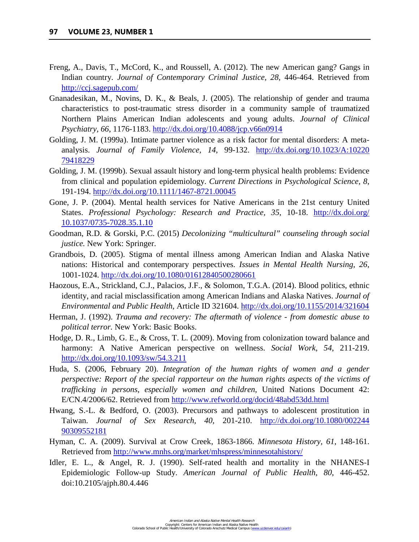- Freng, A., Davis, T., McCord, K., and Roussell, A. (2012). The new American gang? Gangs in Indian country. *Journal of Contemporary Criminal Justice, 28*, 446-464. Retrieved from <http://ccj.sagepub.com/>
- Gnanadesikan, M., Novins, D. K., & Beals, J. (2005). The relationship of gender and trauma characteristics to post-traumatic stress disorder in a community sample of traumatized Northern Plains American Indian adolescents and young adults. *Journal of Clinical Psychiatry, 66*, 1176-1183.<http://dx.doi.org/10.4088/jcp.v66n0914>
- Golding, J. M. (1999a). Intimate partner violence as a risk factor for mental disorders: A metaanalysis. *Journal of Family Violence, 14*, 99-132. [http://dx.doi.org/10.1023/A:10220](http://dx.doi.org/10.1023/A:10220%0b79418229)  [79418229](http://dx.doi.org/10.1023/A:10220%0b79418229)
- Golding, J. M. (1999b). Sexual assault history and long-term physical health problems: Evidence from clinical and population epidemiology. *Current Directions in Psychological Science, 8*, 191-194.<http://dx.doi.org/10.1111/1467-8721.00045>
- Gone, J. P. (2004). Mental health services for Native Americans in the 21st century United States. *Professional Psychology: Research and Practice, 35*, 10-18. [http://dx.doi.org/](http://dx.doi.org/%0b10.1037/0735-7028.35.1.10)  [10.1037/0735-7028.35.1.10](http://dx.doi.org/%0b10.1037/0735-7028.35.1.10)
- Goodman, R.D. & Gorski, P.C. (2015) *Decolonizing "multicultural" counseling through social justice.* New York: Springer.
- Grandbois, D. (2005). Stigma of mental illness among American Indian and Alaska Native nations: Historical and contemporary perspectives. *Issues in Mental Health Nursing, 26*, 1001-1024.<http://dx.doi.org/10.1080/01612840500280661>
- Haozous, E.A., Strickland, C.J., Palacios, J.F., & Solomon, T.G.A. (2014). Blood politics, ethnic identity, and racial misclassification among American Indians and Alaska Natives. *Journal of Environmental and Public Health*, Article ID 321604.<http://dx.doi.org/10.1155/2014/321604>
- Herman, J. (1992). *Trauma and recovery: The aftermath of violence from domestic abuse to political terror.* New York: Basic Books.
- Hodge, D. R., Limb, G. E., & Cross, T. L. (2009). Moving from colonization toward balance and harmony: A Native American perspective on wellness. *Social Work, 54*, 211-219. <http://dx.doi.org/10.1093/sw/54.3.211>
- Huda, S. (2006, February 20). *Integration of the human rights of women and a gender perspective: Report of the special rapporteur on the human rights aspects of the victims of trafficking in persons, especially women and children*, United Nations Document 42: E/CN.4/2006/62. Retrieved from<http://www.refworld.org/docid/48abd53dd.html>
- Hwang, S.-L. & Bedford, O. (2003). Precursors and pathways to adolescent prostitution in Taiwan. *Journal of Sex Research, 40*, 201-210. [http://dx.doi.org/10.1080/002244](http://dx.doi.org/10.1080/002244%0b90309552181)  [90309552181](http://dx.doi.org/10.1080/002244%0b90309552181)
- Hyman, C. A. (2009). Survival at Crow Creek, 1863-1866. *Minnesota History, 61*, 148-161. Retrieved from<http://www.mnhs.org/market/mhspress/minnesotahistory/>
- Idler, E. L., & Angel, R. J. (1990). Self-rated health and mortality in the NHANES-I Epidemiologic Follow-up Study. *American Journal of Public Health, 80*, 446-452. doi:10.2105/ajph.80.4.446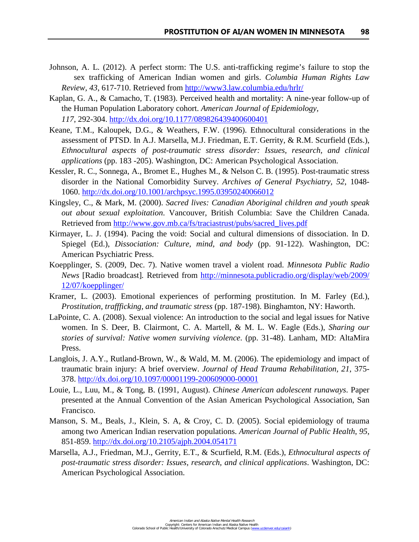- Johnson, A. L. (2012). A perfect storm: The U.S. anti-trafficking regime's failure to stop the sex trafficking of American Indian women and girls. *Columbia Human Rights Law Review, 43*, 617-710. Retrieved from<http://www3.law.columbia.edu/hrlr/>
- Kaplan, G. A., & Camacho, T. (1983). Perceived health and mortality: A nine-year follow-up of the Human Population Laboratory cohort. *American Journal of Epidemiology, 117*, 292-304.<http://dx.doi.org/10.1177/089826439400600401>
- Keane, T.M., Kaloupek, D.G., & Weathers, F.W. (1996). Ethnocultural considerations in the assessment of PTSD. In A.J. Marsella, M.J. Friedman, E.T. Gerrity, & R.M. Scurfield (Eds.), *Ethnocultural aspects of post-traumatic stress disorder: Issues, research, and clinical applications* (pp. 183 -205). Washington, DC: American Psychological Association.
- Kessler, R. C., Sonnega, A., Bromet E., Hughes M., & Nelson C. B. (1995). Post-traumatic stress disorder in the National Comorbidity Survey. *Archives of General Psychiatry, 52*, 1048- 1060.<http://dx.doi.org/10.1001/archpsyc.1995.03950240066012>
- Kingsley, C., & Mark, M. (2000). *Sacred lives: Canadian Aboriginal children and youth speak out about sexual exploitation*. Vancouver, British Columbia: Save the Children Canada. Retrieved from [http://www.gov.mb.ca/fs/traciastrust/pubs/sacred\\_lives.pdf](http://www.gov.mb.ca/fs/traciastrust/pubs/sacred_lives.pdf)
- Kirmayer, L. J. (1994). Pacing the void: Social and cultural dimensions of dissociation. In D. Spiegel (Ed.), *Dissociation: Culture, mind, and body* (pp. 91-122). Washington, DC: American Psychiatric Press.
- Koepplinger, S. (2009, Dec. 7). Native women travel a violent road. *Minnesota Public Radio News* [Radio broadcast]*.* Retrieved from [http://minnesota.publicradio.org/display/web/2009/](http://minnesota.publicradio.org/display/web/2009/%0b12/07/koepplinger/)  [12/07/koepplinger/](http://minnesota.publicradio.org/display/web/2009/%0b12/07/koepplinger/)
- Kramer, L. (2003). Emotional experiences of performing prostitution. In M. Farley (Ed.), *Prostitution, traffficking, and traumatic stress* (pp. 187-198). Binghamton, NY: Haworth.
- LaPointe, C. A. (2008). Sexual violence: An introduction to the social and legal issues for Native women. In S. Deer, B. Clairmont, C. A. Martell, & M. L. W. Eagle (Eds.), *Sharing our stories of survival: Native women surviving violence*. (pp. 31-48). Lanham, MD: AltaMira Press.
- Langlois, J. A.Y., Rutland-Brown, W., & Wald, M. M. (2006). The epidemiology and impact of traumatic brain injury: A brief overview. *Journal of Head Trauma Rehabilitation, 21*, 375- 378.<http://dx.doi.org/10.1097/00001199-200609000-00001>
- Louie, L., Luu, M., & Tong, B. (1991, August). *Chinese American adolescent runaways*. Paper presented at the Annual Convention of the Asian American Psychological Association, San Francisco.
- Manson, S. M., Beals, J., Klein, S. A, & Croy, C. D. (2005). Social epidemiology of trauma among two American Indian reservation populations. *American Journal of Public Health*, *95*, 851-859.<http://dx.doi.org/10.2105/ajph.2004.054171>
- Marsella, A.J., Friedman, M.J., Gerrity, E.T., & Scurfield, R.M. (Eds.), *Ethnocultural aspects of post-traumatic stress disorder: Issues, research, and clinical applications*. Washington, DC: American Psychological Association.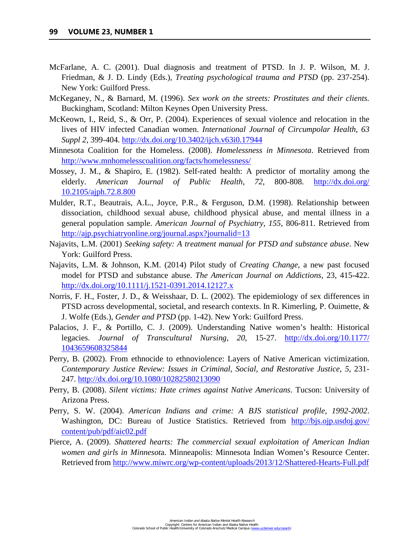- McFarlane, A. C. (2001). Dual diagnosis and treatment of PTSD. In J. P. Wilson, M. J. Friedman, & J. D. Lindy (Eds.), *Treating psychological trauma and PTSD* (pp. 237-254). New York: Guilford Press.
- McKeganey, N., & Barnard, M. (1996). *Sex work on the streets: Prostitutes and their clients.*  Buckingham, Scotland: Milton Keynes Open University Press.
- McKeown, I., Reid, S., & Orr, P. (2004). Experiences of sexual violence and relocation in the lives of HIV infected Canadian women. *International Journal of Circumpolar Health*, *63 Suppl 2*, 399-404.<http://dx.doi.org/10.3402/ijch.v63i0.17944>
- Minnesota Coalition for the Homeless. (2008). *Homelessness in Minnesota*. Retrieved from <http://www.mnhomelesscoalition.org/facts/homelessness/>
- Mossey, J. M., & Shapiro, E. (1982). Self-rated health: A predictor of mortality among the elderly. *American Journal of Public Health, 72*, 800-808. [http://dx.doi.org/](http://dx.doi.org/%0b10.2105/ajph.72.8.800)  [10.2105/ajph.72.8.800](http://dx.doi.org/%0b10.2105/ajph.72.8.800)
- Mulder, R.T., Beautrais, A.L., Joyce, P.R., & Ferguson, D.M. (1998). Relationship between dissociation, childhood sexual abuse, childhood physical abuse, and mental illness in a general population sample. *American Journal of Psychiatry, 155*, 806-811. Retrieved from http://ajp.psychiatryonline.org/journal.aspx?journalid=13
- Najavits, L.M. (2001) *Seeking safety: A treatment manual for PTSD and substance abuse*. New York: Guilford Press.
- Najavits, L.M. & Johnson, K.M. (2014) Pilot study of *Creating Change*, a new past focused model for PTSD and substance abuse. *The American Journal on Addictions,* 23, 415-422. <http://dx.doi.org/10.1111/j.1521-0391.2014.12127.x>
- Norris, F. H., Foster, J. D., & Weisshaar, D. L. (2002). The epidemiology of sex differences in PTSD across developmental, societal, and research contexts. In R. Kimerling, P. Ouimette, & J. Wolfe (Eds.), *Gender and PTSD* (pp. 1-42). New York: Guilford Press.
- Palacios, J. F., & Portillo, C. J. (2009). Understanding Native women's health: Historical legacies. *Journal of Transcultural Nursing, 20*, 15-27. [http://dx.doi.org/10.1177/](http://dx.doi.org/10.1177/%0b1043659608325844)  [1043659608325844](http://dx.doi.org/10.1177/%0b1043659608325844)
- Perry, B. (2002). From ethnocide to ethnoviolence: Layers of Native American victimization. *Contemporary Justice Review: Issues in Criminal, Social, and Restorative Justice*, *5*, 231- 247.<http://dx.doi.org/10.1080/10282580213090>
- Perry, B. (2008). *Silent victims: Hate crimes against Native Americans*. Tucson: University of Arizona Press.
- Perry, S. W. (2004). *American Indians and crime: A BJS statistical profile, 1992-2002*. Washington, DC: Bureau of Justice Statistics. Retrieved from http://bjs.ojp.usdoj.gov/ [content/pub/pdf/aic02.pdf](http://bjs.ojp.usdoj.gov/%0bcontent/pub/pdf/aic02.pdf)
- Pierce, A. (2009). *Shattered hearts: The commercial sexual exploitation of American Indian women and girls in Minnesot*a. Minneapolis: Minnesota Indian Women's Resource Center. Retrieved from<http://www.miwrc.org/wp-content/uploads/2013/12/Shattered-Hearts-Full.pdf>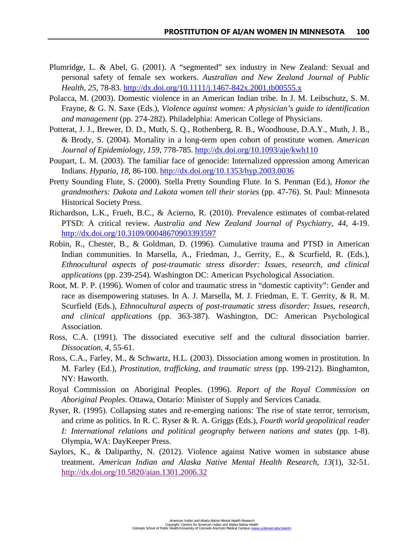- Plumridge, L. & Abel, G. (2001). A "segmented" sex industry in New Zealand: Sexual and personal safety of female sex workers. *Australian and New Zealand Journal of Public Health, 25*, 78-83.<http://dx.doi.org/10.1111/j.1467-842x.2001.tb00555.x>
- Polacca, M. (2003). Domestic violence in an American Indian tribe. In J. M. Leibschutz, S. M. Frayne, & G. N. Saxe (Eds.), *Violence against women: A physician's guide to identification and management* (pp. 274-282). Philadelphia: American College of Physicians.
- Potterat, J. J., Brewer, D. D., Muth, S. Q., Rothenberg, R. B., Woodhouse, D.A.Y., Muth, J. B., & Brody, S. (2004). Mortality in a long-term open cohort of prostitute women. *American Journal of Epidemiology, 159*, 778-785.<http://dx.doi.org/10.1093/aje/kwh110>
- Poupart, L. M. (2003). The familiar face of genocide: Internalized oppression among American Indians. *Hypatia, 18*, 86-100.<http://dx.doi.org/10.1353/hyp.2003.0036>
- Pretty Sounding Flute, S. (2000). Stella Pretty Sounding Flute. In S. Penman (Ed.), *Honor the grandmothers: Dakota and Lakota women tell their stories* (pp. 47-76). St. Paul: Minnesota Historical Society Press.
- Richardson, L.K., Frueh, B.C., & Acierno, R. (2010). Prevalence estimates of combat-related PTSD: A critical review. *[Australia and New Zealand Journal of Psychiatry,](http://www.ncbi.nlm.nih.gov/entrez/eutils/elink.fcgi?dbfrom=pubmed&retmode=ref&cmd=prlinks&id=20073563) 44*, 4-19. <http://dx.doi.org/10.3109/00048670903393597>
- Robin, R., Chester, B., & Goldman, D. (1996). Cumulative trauma and PTSD in American Indian communities. In Marsella, A., Friedman, J., Gerrity, E., & Scurfield, R. (Eds.), *Ethnocultural aspects of post-traumatic stress disorder: Issues, research, and clinical applications* (pp. 239-254)*.* Washington DC: American Psychological Association.
- Root, M. P. P. (1996). Women of color and traumatic stress in "domestic captivity": Gender and race as disempowering statuses. In A. J. Marsella, M. J. Friedman, E. T. Gerrity, & R. M. Scurfield (Eds.), *Ethnocultural aspects of post-traumatic stress disorder: Issues, research, and clinical applications* (pp. 363-387). Washington, DC: American Psychological Association.
- Ross, C.A. (1991). The dissociated executive self and the cultural dissociation barrier. *Dissocation*, *4*, 55-61.
- Ross, C.A., Farley, M., & Schwartz, H.L. (2003). Dissociation among women in prostitution. In M. Farley (Ed.), *Prostitution, trafficking, and traumatic stress* (pp. 199-212). Binghamton, NY: Haworth.
- Royal Commission on Aboriginal Peoples. (1996). *Report of the Royal Commission on Aboriginal Peoples.* Ottawa, Ontario: Minister of Supply and Services Canada.
- Ryser, R. (1995). Collapsing states and re-emerging nations: The rise of state terror, terrorism, and crime as politics. In R. C. Ryser & R. A. Griggs (Eds.), *Fourth world geopolitical reader I: International relations and political geography between nations and states* (pp. 1-8). Olympia, WA: DayKeeper Press.
- Saylors, K., & Daliparthy, N. (2012). Violence against Native women in substance abuse treatment. *American Indian and Alaska Native Mental Health Research, 13*(1), 32-51. <http://dx.doi.org/10.5820/aian.1301.2006.32>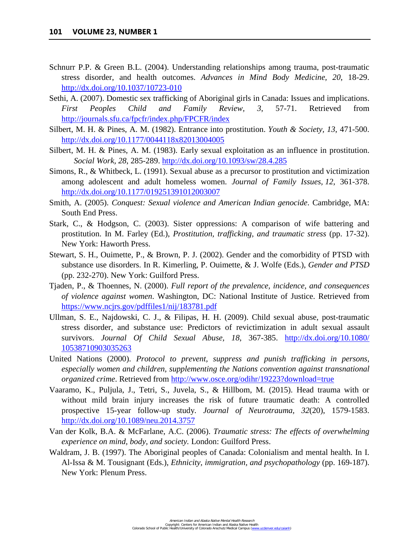- Schnurr P.P. & Green B.L. (2004). Understanding relationships among trauma, post-traumatic stress disorder, and health outcomes. *Advances in Mind Body Medicine, 20*, 18-29. <http://dx.doi.org/10.1037/10723-010>
- Sethi, A. (2007). Domestic sex trafficking of Aboriginal girls in Canada: Issues and implications. *First Peoples Child and Family Review, 3*, 57-71. Retrieved from <http://journals.sfu.ca/fpcfr/index.php/FPCFR/index>
- Silbert, M. H. & Pines, A. M. (1982). Entrance into prostitution. *Youth & Society, 13*, 471-500. <http://dx.doi.org/10.1177/0044118x82013004005>
- Silbert, M. H. & Pines, A. M. (1983). Early sexual exploitation as an influence in prostitution. *Social Work, 28*, 285-289.<http://dx.doi.org/10.1093/sw/28.4.285>
- Simons, R., & Whitbeck, L. (1991). Sexual abuse as a precursor to prostitution and victimization among adolescent and adult homeless women. *Journal of Family Issues, 12*, 361-378. <http://dx.doi.org/10.1177/019251391012003007>
- Smith, A. (2005). *Conquest: Sexual violence and American Indian genocide*. Cambridge, MA: South End Press.
- Stark, C., & Hodgson, C. (2003). Sister oppressions: A comparison of wife battering and prostitution. In M. Farley (Ed.), *Prostitution, trafficking, and traumatic stress* (pp. 17-32). New York: Haworth Press.
- Stewart, S. H., Ouimette, P., & Brown, P. J. (2002). Gender and the comorbidity of PTSD with substance use disorders. In R. Kimerling, P. Ouimette, & J. Wolfe (Eds.), *Gender and PTSD* (pp. 232-270). New York: Guilford Press.
- Tjaden, P., & Thoennes, N. (2000). *Full report of the prevalence, incidence, and consequences of violence against women*. Washington, DC: National Institute of Justice. Retrieved from <https://www.ncjrs.gov/pdffiles1/nij/183781.pdf>
- Ullman, S. E., Najdowski, C. J., & Filipas, H. H. (2009). Child sexual abuse, post-traumatic stress disorder, and substance use: Predictors of revictimization in adult sexual assault survivors. *Journal Of Child Sexual Abuse, 18*, 367-385. [http://dx.doi.org/10.1080/](http://dx.doi.org/10.1080/%0b10538710903035263)  [10538710903035263](http://dx.doi.org/10.1080/%0b10538710903035263)
- United Nations (2000). *Protocol to prevent, suppress and punish trafficking in persons, especially women and children, supplementing the Nations convention against transnational organized crime*. Retrieved from<http://www.osce.org/odihr/19223?download=true>
- Vaaramo, K., Puljula, J., Tetri, S., Juvela, S., & Hillbom, M. (2015). Head trauma with or without mild brain injury increases the risk of future traumatic death: A controlled prospective 15-year follow-up study. *Journal of Neurotrauma, 32*(20), 1579-1583. <http://dx.doi.org/10.1089/neu.2014.3757>
- Van der Kolk, B.A. & McFarlane, A.C. (2006). *[Traumatic stress: The effects of overwhelming](https://books.google.com/books?hl=en&lr=&id=bEBi_boGsYgC&oi=fnd&pg=PP1&dq=denial+of+traumatic+stress&ots=FtWtlIm2gK&sig=elaPrYUbDoVx23JcsxhFA4J8hvY)  [experience on mind, body, and society.](https://books.google.com/books?hl=en&lr=&id=bEBi_boGsYgC&oi=fnd&pg=PP1&dq=denial+of+traumatic+stress&ots=FtWtlIm2gK&sig=elaPrYUbDoVx23JcsxhFA4J8hvY)* London: Guilford Press.
- Waldram, J. B. (1997). The Aboriginal peoples of Canada: Colonialism and mental health. In I. Al-Issa & M. Tousignant (Eds.), *Ethnicity, immigration, and psychopathology* (pp. 169-187). New York: Plenum Press.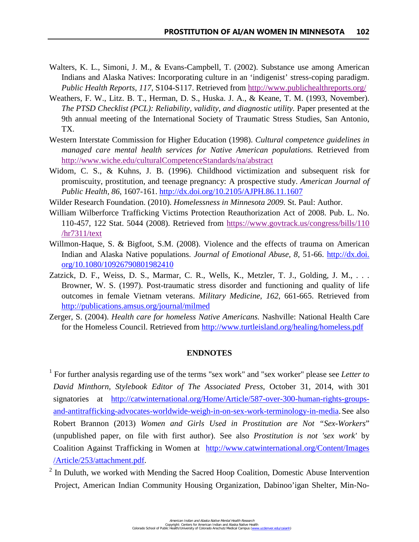- Walters, K. L., Simoni, J. M., & Evans-Campbell, T. (2002). Substance use among American Indians and Alaska Natives: Incorporating culture in an 'indigenist' stress-coping paradigm. *Public Health Reports, 117*, S104-S117. Retrieved from<http://www.publichealthreports.org/>
- Weathers, F. W., Litz. B. T., Herman, D. S., Huska. J. A., & Keane, T. M. (1993, November). *The PTSD Checklist (PCL): Reliability, validity, and diagnostic utility.* Paper presented at the 9th annual meeting of the International Society of Traumatic Stress Studies, San Antonio, TX.
- Western Interstate Commission for Higher Education (1998). *Cultural competence guidelines in managed care mental health services for Native American populations.* Retrieved from <http://www.wiche.edu/culturalCompetenceStandards/na/abstract>
- Widom, C. S., & Kuhns, J. B. (1996). Childhood victimization and subsequent risk for promiscuity, prostitution, and teenage pregnancy: A prospective study. *American Journal of Public Health, 86*, 1607-161.<http://dx.doi.org/10.2105/AJPH.86.11.1607>
- Wilder Research Foundation. (2010). *Homelessness in Minnesota 2009.* St. Paul: Author.
- William Wilberforce Trafficking Victims Protection Reauthorization Act of 2008. Pub. L. No. 110-457, 122 Stat. 5044 (2008). Retrieved from [https://www.govtrack.us/congress/bills/110](https://www.govtrack.us/congress/bills/110/hr7311/text)  [/hr7311/text](https://www.govtrack.us/congress/bills/110/hr7311/text)
- Willmon-Haque, S. & Bigfoot, S.M. (2008). Violence and the effects of trauma on American Indian and Alaska Native populations. *Journal of Emotional Abuse, 8*, 51-66. http://dx.doi. org/10.1080/10926790801982410
- Zatzick, D. F., Weiss, D. S., Marmar, C. R., Wells, K., Metzler, T. J., Golding, J. M., ... Browner, W. S. (1997). Post-traumatic stress disorder and functioning and quality of life outcomes in female Vietnam veterans. *Military Medicine, 162*, 661-665. Retrieved from <http://publications.amsus.org/journal/milmed>
- Zerger, S. (2004). *Health care for homeless Native Americans.* Nashville: National Health Care for the Homeless Council. Retrieved from<http://www.turtleisland.org/healing/homeless.pdf>

#### **ENDNOTES**

<span id="page-37-0"></span>1 For further analysis regarding use of the terms "sex work" and "sex worker" please see *Letter to David Minthorn, Stylebook Editor of The Associated Press*, October 31, 2014, with 301 signatories at [http://catwinternational.org/Home/Article/587-over-300-human-rights-groups](http://catwinternational.org/Home/Article/587-over-300-human-rights-groups-%20%0b%20%20and-antitrafficking-advocates-worldwide-weigh-in-on-sex-work-terminology-in-media)   [and-antitrafficking-advocates-worldwide-weigh-in-on-sex-work-terminology-in-media.](http://catwinternational.org/Home/Article/587-over-300-human-rights-groups-%20%0b%20%20and-antitrafficking-advocates-worldwide-weigh-in-on-sex-work-terminology-in-media)See also Robert Brannon (2013) *Women and Girls Used in Prostitution are Not "Sex-Workers*" (unpublished paper, on file with first author). See also *Prostitution is not 'sex work'* by Coalition Against Trafficking in Women at [http://www.catwinternational.org/Content/Images](http://www.catwinternational.org/Content/Images%0b%20%20/Article/253/attachment.pdf)  [/Article/253/attachment.pdf.](http://www.catwinternational.org/Content/Images%0b%20%20/Article/253/attachment.pdf)

 $2$  In Duluth, we worked with Mending the Sacred Hoop Coalition, Domestic Abuse Intervention Project, American Indian Community Housing Organization, Dabinoo'igan Shelter, Min-No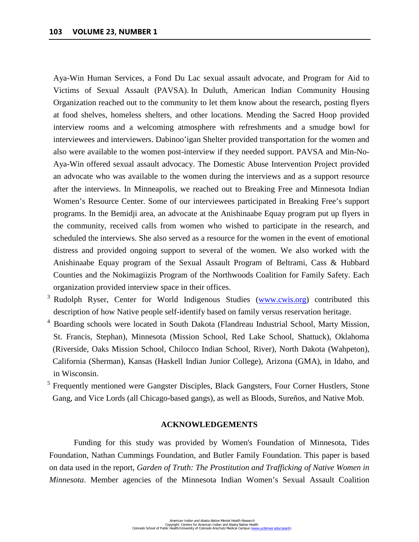Aya-Win Human Services, a Fond Du Lac sexual assault advocate, and Program for Aid to Victims of Sexual Assault (PAVSA). In Duluth, American Indian Community Housing Organization reached out to the community to let them know about the research, posting flyers at food shelves, homeless shelters, and other locations. Mending the Sacred Hoop provided interview rooms and a welcoming atmosphere with refreshments and a smudge bowl for interviewees and interviewers. Dabinoo'igan Shelter provided transportation for the women and also were available to the women post-interview if they needed support. PAVSA and Min-No- Aya-Win offered sexual assault advocacy. The Domestic Abuse Intervention Project provided an advocate who was available to the women during the interviews and as a support resource after the interviews. In Minneapolis, we reached out to Breaking Free and Minnesota Indian Women's Resource Center. Some of our interviewees participated in Breaking Free's support programs. In the Bemidji area, an advocate at the Anishinaabe Equay program put up flyers in the community, received calls from women who wished to participate in the research, and scheduled the interviews. She also served as a resource for the women in the event of emotional distress and provided ongoing support to several of the women. We also worked with the Anishinaabe Equay program of the Sexual Assault Program of Beltrami, Cass & Hubbard Counties and the Nokimagiizis Program of the Northwoods Coalition for Family Safety. Each organization provided interview space in their offices.

- <span id="page-38-1"></span><sup>3</sup> Rudolph Ryser, Center for World Indigenous Studies [\(www.cwis.org\)](http://www.cwis.org/) contributed this description of how Native people self-identify based on family versus reservation heritage.
- <span id="page-38-2"></span><sup>4</sup> Boarding schools were located in South Dakota (Flandreau Industrial School, Marty Mission, St. Francis, Stephan), Minnesota (Mission School, Red Lake School, Shattuck), Oklahoma (Riverside, Oaks Mission School, Chilocco Indian School, River), North Dakota (Wahpeton), California (Sherman), Kansas (Haskell Indian Junior College), Arizona (GMA), in Idaho, and in Wisconsin.
- <sup>5</sup> Frequently mentioned were Gangster Disciples, Black Gangsters, Four Corner Hustlers, Stone Gang, and Vice Lords (all Chicago-based gangs), as well as Bloods, Sureños, and Native Mob.

## **ACKNOWLEDGEMENTS**

<span id="page-38-0"></span>Funding for this study was provided by Women's Foundation of Minnesota, Tides Foundation, Nathan Cummings Foundation, and Butler Family Foundation. This paper is based on data used in the report, *Garden of Truth: The Prostitution and Trafficking of Native Women in Minnesota*. Member agencies of the Minnesota Indian Women's Sexual Assault Coalition